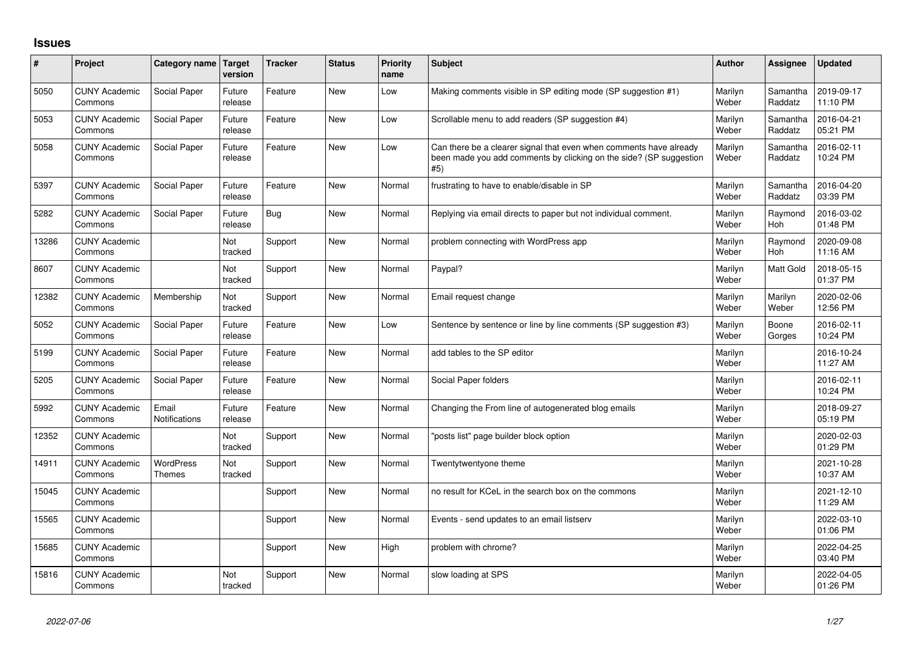## **Issues**

| #     | Project                         | Category name   Target            | version           | <b>Tracker</b> | <b>Status</b> | <b>Priority</b><br>name | <b>Subject</b>                                                                                                                                  | <b>Author</b>    | <b>Assignee</b>       | <b>Updated</b>         |
|-------|---------------------------------|-----------------------------------|-------------------|----------------|---------------|-------------------------|-------------------------------------------------------------------------------------------------------------------------------------------------|------------------|-----------------------|------------------------|
| 5050  | <b>CUNY Academic</b><br>Commons | Social Paper                      | Future<br>release | Feature        | <b>New</b>    | Low                     | Making comments visible in SP editing mode (SP suggestion #1)                                                                                   | Marilyn<br>Weber | Samantha<br>Raddatz   | 2019-09-17<br>11:10 PM |
| 5053  | <b>CUNY Academic</b><br>Commons | Social Paper                      | Future<br>release | Feature        | <b>New</b>    | Low                     | Scrollable menu to add readers (SP suggestion #4)                                                                                               | Marilyn<br>Weber | Samantha<br>Raddatz   | 2016-04-21<br>05:21 PM |
| 5058  | <b>CUNY Academic</b><br>Commons | Social Paper                      | Future<br>release | Feature        | <b>New</b>    | Low                     | Can there be a clearer signal that even when comments have already<br>been made you add comments by clicking on the side? (SP suggestion<br>#5) | Marilyn<br>Weber | Samantha<br>Raddatz   | 2016-02-11<br>10:24 PM |
| 5397  | <b>CUNY Academic</b><br>Commons | Social Paper                      | Future<br>release | Feature        | <b>New</b>    | Normal                  | frustrating to have to enable/disable in SP                                                                                                     | Marilyn<br>Weber | Samantha<br>Raddatz   | 2016-04-20<br>03:39 PM |
| 5282  | <b>CUNY Academic</b><br>Commons | Social Paper                      | Future<br>release | <b>Bug</b>     | <b>New</b>    | Normal                  | Replying via email directs to paper but not individual comment.                                                                                 | Marilyn<br>Weber | Raymond<br>Hoh        | 2016-03-02<br>01:48 PM |
| 13286 | <b>CUNY Academic</b><br>Commons |                                   | Not<br>tracked    | Support        | <b>New</b>    | Normal                  | problem connecting with WordPress app                                                                                                           | Marilyn<br>Weber | Raymond<br><b>Hoh</b> | 2020-09-08<br>11:16 AM |
| 8607  | <b>CUNY Academic</b><br>Commons |                                   | Not<br>tracked    | Support        | <b>New</b>    | Normal                  | Paypal?                                                                                                                                         | Marilyn<br>Weber | <b>Matt Gold</b>      | 2018-05-15<br>01:37 PM |
| 12382 | <b>CUNY Academic</b><br>Commons | Membership                        | Not<br>tracked    | Support        | <b>New</b>    | Normal                  | Email request change                                                                                                                            | Marilyn<br>Weber | Marilyn<br>Weber      | 2020-02-06<br>12:56 PM |
| 5052  | <b>CUNY Academic</b><br>Commons | Social Paper                      | Future<br>release | Feature        | <b>New</b>    | Low                     | Sentence by sentence or line by line comments (SP suggestion #3)                                                                                | Marilyn<br>Weber | Boone<br>Gorges       | 2016-02-11<br>10:24 PM |
| 5199  | <b>CUNY Academic</b><br>Commons | Social Paper                      | Future<br>release | Feature        | <b>New</b>    | Normal                  | add tables to the SP editor                                                                                                                     | Marilyn<br>Weber |                       | 2016-10-24<br>11:27 AM |
| 5205  | <b>CUNY Academic</b><br>Commons | Social Paper                      | Future<br>release | Feature        | <b>New</b>    | Normal                  | Social Paper folders                                                                                                                            | Marilyn<br>Weber |                       | 2016-02-11<br>10:24 PM |
| 5992  | <b>CUNY Academic</b><br>Commons | Email<br>Notifications            | Future<br>release | Feature        | <b>New</b>    | Normal                  | Changing the From line of autogenerated blog emails                                                                                             | Marilyn<br>Weber |                       | 2018-09-27<br>05:19 PM |
| 12352 | <b>CUNY Academic</b><br>Commons |                                   | Not<br>tracked    | Support        | <b>New</b>    | Normal                  | 'posts list" page builder block option                                                                                                          | Marilyn<br>Weber |                       | 2020-02-03<br>01:29 PM |
| 14911 | <b>CUNY Academic</b><br>Commons | <b>WordPress</b><br><b>Themes</b> | Not<br>tracked    | Support        | <b>New</b>    | Normal                  | Twentytwentyone theme                                                                                                                           | Marilyn<br>Weber |                       | 2021-10-28<br>10:37 AM |
| 15045 | <b>CUNY Academic</b><br>Commons |                                   |                   | Support        | <b>New</b>    | Normal                  | no result for KCeL in the search box on the commons                                                                                             | Marilyn<br>Weber |                       | 2021-12-10<br>11:29 AM |
| 15565 | <b>CUNY Academic</b><br>Commons |                                   |                   | Support        | New           | Normal                  | Events - send updates to an email listserv                                                                                                      | Marilyn<br>Weber |                       | 2022-03-10<br>01:06 PM |
| 15685 | <b>CUNY Academic</b><br>Commons |                                   |                   | Support        | <b>New</b>    | High                    | problem with chrome?                                                                                                                            | Marilyn<br>Weber |                       | 2022-04-25<br>03:40 PM |
| 15816 | <b>CUNY Academic</b><br>Commons |                                   | Not<br>tracked    | Support        | <b>New</b>    | Normal                  | slow loading at SPS                                                                                                                             | Marilyn<br>Weber |                       | 2022-04-05<br>01:26 PM |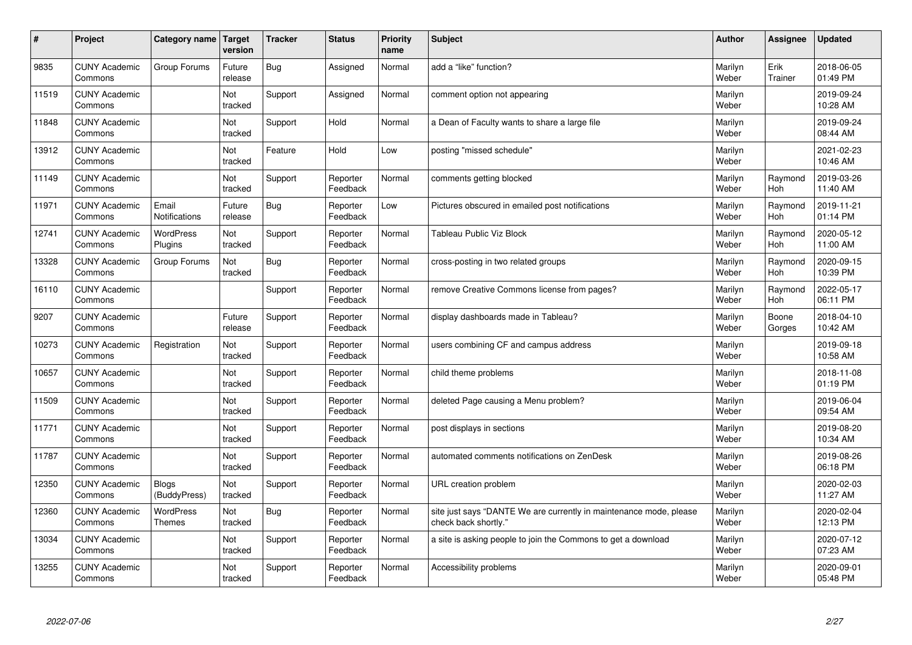| #     | Project                         | Category name                 | <b>Target</b><br>version | <b>Tracker</b> | <b>Status</b>        | <b>Priority</b><br>name | <b>Subject</b>                                                                             | <b>Author</b>    | Assignee              | <b>Updated</b>         |
|-------|---------------------------------|-------------------------------|--------------------------|----------------|----------------------|-------------------------|--------------------------------------------------------------------------------------------|------------------|-----------------------|------------------------|
| 9835  | <b>CUNY Academic</b><br>Commons | Group Forums                  | Future<br>release        | Bug            | Assigned             | Normal                  | add a "like" function?                                                                     | Marilyn<br>Weber | Erik<br>Trainer       | 2018-06-05<br>01:49 PM |
| 11519 | <b>CUNY Academic</b><br>Commons |                               | Not<br>tracked           | Support        | Assigned             | Normal                  | comment option not appearing                                                               | Marilyn<br>Weber |                       | 2019-09-24<br>10:28 AM |
| 11848 | <b>CUNY Academic</b><br>Commons |                               | Not<br>tracked           | Support        | Hold                 | Normal                  | a Dean of Faculty wants to share a large file                                              | Marilyn<br>Weber |                       | 2019-09-24<br>08:44 AM |
| 13912 | <b>CUNY Academic</b><br>Commons |                               | Not<br>tracked           | Feature        | Hold                 | Low                     | posting "missed schedule"                                                                  | Marilyn<br>Weber |                       | 2021-02-23<br>10:46 AM |
| 11149 | <b>CUNY Academic</b><br>Commons |                               | Not<br>tracked           | Support        | Reporter<br>Feedback | Normal                  | comments getting blocked                                                                   | Marilyn<br>Weber | Raymond<br>Hoh        | 2019-03-26<br>11:40 AM |
| 11971 | <b>CUNY Academic</b><br>Commons | Email<br><b>Notifications</b> | Future<br>release        | <b>Bug</b>     | Reporter<br>Feedback | Low                     | Pictures obscured in emailed post notifications                                            | Marilyn<br>Weber | Raymond<br>Hoh        | 2019-11-21<br>01:14 PM |
| 12741 | <b>CUNY Academic</b><br>Commons | <b>WordPress</b><br>Plugins   | Not<br>tracked           | Support        | Reporter<br>Feedback | Normal                  | <b>Tableau Public Viz Block</b>                                                            | Marilyn<br>Weber | Raymond<br>Hoh        | 2020-05-12<br>11:00 AM |
| 13328 | <b>CUNY Academic</b><br>Commons | Group Forums                  | Not<br>tracked           | <b>Bug</b>     | Reporter<br>Feedback | Normal                  | cross-posting in two related groups                                                        | Marilyn<br>Weber | Raymond<br><b>Hoh</b> | 2020-09-15<br>10:39 PM |
| 16110 | <b>CUNY Academic</b><br>Commons |                               |                          | Support        | Reporter<br>Feedback | Normal                  | remove Creative Commons license from pages?                                                | Marilyn<br>Weber | Raymond<br>Hoh        | 2022-05-17<br>06:11 PM |
| 9207  | <b>CUNY Academic</b><br>Commons |                               | Future<br>release        | Support        | Reporter<br>Feedback | Normal                  | display dashboards made in Tableau?                                                        | Marilyn<br>Weber | Boone<br>Gorges       | 2018-04-10<br>10:42 AM |
| 10273 | <b>CUNY Academic</b><br>Commons | Registration                  | Not<br>tracked           | Support        | Reporter<br>Feedback | Normal                  | users combining CF and campus address                                                      | Marilyn<br>Weber |                       | 2019-09-18<br>10:58 AM |
| 10657 | <b>CUNY Academic</b><br>Commons |                               | Not<br>tracked           | Support        | Reporter<br>Feedback | Normal                  | child theme problems                                                                       | Marilyn<br>Weber |                       | 2018-11-08<br>01:19 PM |
| 11509 | <b>CUNY Academic</b><br>Commons |                               | Not<br>tracked           | Support        | Reporter<br>Feedback | Normal                  | deleted Page causing a Menu problem?                                                       | Marilyn<br>Weber |                       | 2019-06-04<br>09:54 AM |
| 11771 | <b>CUNY Academic</b><br>Commons |                               | Not<br>tracked           | Support        | Reporter<br>Feedback | Normal                  | post displays in sections                                                                  | Marilyn<br>Weber |                       | 2019-08-20<br>10:34 AM |
| 11787 | <b>CUNY Academic</b><br>Commons |                               | Not<br>tracked           | Support        | Reporter<br>Feedback | Normal                  | automated comments notifications on ZenDesk                                                | Marilyn<br>Weber |                       | 2019-08-26<br>06:18 PM |
| 12350 | <b>CUNY Academic</b><br>Commons | <b>Blogs</b><br>(BuddyPress)  | Not<br>tracked           | Support        | Reporter<br>Feedback | Normal                  | URL creation problem                                                                       | Marilyn<br>Weber |                       | 2020-02-03<br>11:27 AM |
| 12360 | <b>CUNY Academic</b><br>Commons | WordPress<br>Themes           | Not<br>tracked           | Bug            | Reporter<br>Feedback | Normal                  | site just says "DANTE We are currently in maintenance mode, please<br>check back shortly." | Marilyn<br>Weber |                       | 2020-02-04<br>12:13 PM |
| 13034 | <b>CUNY Academic</b><br>Commons |                               | Not<br>tracked           | Support        | Reporter<br>Feedback | Normal                  | a site is asking people to join the Commons to get a download                              | Marilyn<br>Weber |                       | 2020-07-12<br>07:23 AM |
| 13255 | <b>CUNY Academic</b><br>Commons |                               | Not<br>tracked           | Support        | Reporter<br>Feedback | Normal                  | Accessibility problems                                                                     | Marilyn<br>Weber |                       | 2020-09-01<br>05:48 PM |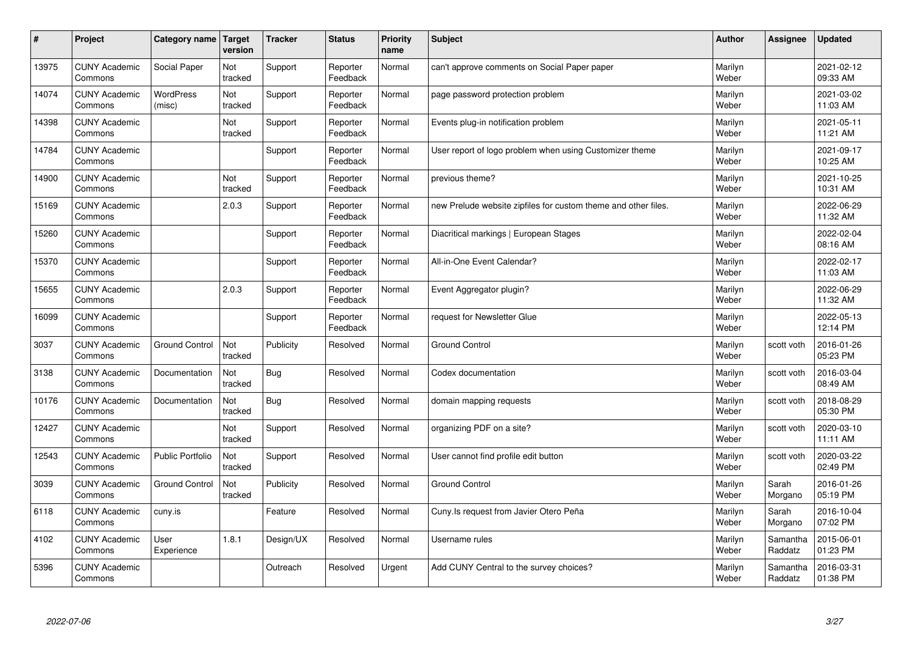| #     | Project                         | Category name   Target     | version        | <b>Tracker</b> | <b>Status</b>        | <b>Priority</b><br>name | <b>Subject</b>                                                 | <b>Author</b>    | <b>Assignee</b>     | <b>Updated</b>         |
|-------|---------------------------------|----------------------------|----------------|----------------|----------------------|-------------------------|----------------------------------------------------------------|------------------|---------------------|------------------------|
| 13975 | <b>CUNY Academic</b><br>Commons | Social Paper               | Not<br>tracked | Support        | Reporter<br>Feedback | Normal                  | can't approve comments on Social Paper paper                   | Marilyn<br>Weber |                     | 2021-02-12<br>09:33 AM |
| 14074 | <b>CUNY Academic</b><br>Commons | <b>WordPress</b><br>(misc) | Not<br>tracked | Support        | Reporter<br>Feedback | Normal                  | page password protection problem                               | Marilyn<br>Weber |                     | 2021-03-02<br>11:03 AM |
| 14398 | <b>CUNY Academic</b><br>Commons |                            | Not<br>tracked | Support        | Reporter<br>Feedback | Normal                  | Events plug-in notification problem                            | Marilyn<br>Weber |                     | 2021-05-11<br>11:21 AM |
| 14784 | <b>CUNY Academic</b><br>Commons |                            |                | Support        | Reporter<br>Feedback | Normal                  | User report of logo problem when using Customizer theme        | Marilyn<br>Weber |                     | 2021-09-17<br>10:25 AM |
| 14900 | <b>CUNY Academic</b><br>Commons |                            | Not<br>tracked | Support        | Reporter<br>Feedback | Normal                  | previous theme?                                                | Marilyn<br>Weber |                     | 2021-10-25<br>10:31 AM |
| 15169 | <b>CUNY Academic</b><br>Commons |                            | 2.0.3          | Support        | Reporter<br>Feedback | Normal                  | new Prelude website zipfiles for custom theme and other files. | Marilyn<br>Weber |                     | 2022-06-29<br>11:32 AM |
| 15260 | <b>CUNY Academic</b><br>Commons |                            |                | Support        | Reporter<br>Feedback | Normal                  | Diacritical markings   European Stages                         | Marilyn<br>Weber |                     | 2022-02-04<br>08:16 AM |
| 15370 | <b>CUNY Academic</b><br>Commons |                            |                | Support        | Reporter<br>Feedback | Normal                  | All-in-One Event Calendar?                                     | Marilyn<br>Weber |                     | 2022-02-17<br>11:03 AM |
| 15655 | <b>CUNY Academic</b><br>Commons |                            | 2.0.3          | Support        | Reporter<br>Feedback | Normal                  | Event Aggregator plugin?                                       | Marilyn<br>Weber |                     | 2022-06-29<br>11:32 AM |
| 16099 | <b>CUNY Academic</b><br>Commons |                            |                | Support        | Reporter<br>Feedback | Normal                  | request for Newsletter Glue                                    | Marilyn<br>Weber |                     | 2022-05-13<br>12:14 PM |
| 3037  | <b>CUNY Academic</b><br>Commons | <b>Ground Control</b>      | Not<br>tracked | Publicity      | Resolved             | Normal                  | Ground Control                                                 | Marilyn<br>Weber | scott voth          | 2016-01-26<br>05:23 PM |
| 3138  | <b>CUNY Academic</b><br>Commons | Documentation              | Not<br>tracked | Bug            | Resolved             | Normal                  | Codex documentation                                            | Marilyn<br>Weber | scott voth          | 2016-03-04<br>08:49 AM |
| 10176 | <b>CUNY Academic</b><br>Commons | Documentation              | Not<br>tracked | <b>Bug</b>     | Resolved             | Normal                  | domain mapping requests                                        | Marilyn<br>Weber | scott voth          | 2018-08-29<br>05:30 PM |
| 12427 | <b>CUNY Academic</b><br>Commons |                            | Not<br>tracked | Support        | Resolved             | Normal                  | organizing PDF on a site?                                      | Marilyn<br>Weber | scott voth          | 2020-03-10<br>11:11 AM |
| 12543 | <b>CUNY Academic</b><br>Commons | Public Portfolio           | Not<br>tracked | Support        | Resolved             | Normal                  | User cannot find profile edit button                           | Marilyn<br>Weber | scott voth          | 2020-03-22<br>02:49 PM |
| 3039  | <b>CUNY Academic</b><br>Commons | <b>Ground Control</b>      | Not<br>tracked | Publicity      | Resolved             | Normal                  | <b>Ground Control</b>                                          | Marilyn<br>Weber | Sarah<br>Morgano    | 2016-01-26<br>05:19 PM |
| 6118  | <b>CUNY Academic</b><br>Commons | cuny.is                    |                | Feature        | Resolved             | Normal                  | Cuny. Is request from Javier Otero Peña                        | Marilyn<br>Weber | Sarah<br>Morgano    | 2016-10-04<br>07:02 PM |
| 4102  | <b>CUNY Academic</b><br>Commons | User<br>Experience         | 1.8.1          | Design/UX      | Resolved             | Normal                  | Username rules                                                 | Marilyn<br>Weber | Samantha<br>Raddatz | 2015-06-01<br>01:23 PM |
| 5396  | <b>CUNY Academic</b><br>Commons |                            |                | Outreach       | Resolved             | Urgent                  | Add CUNY Central to the survey choices?                        | Marilyn<br>Weber | Samantha<br>Raddatz | 2016-03-31<br>01:38 PM |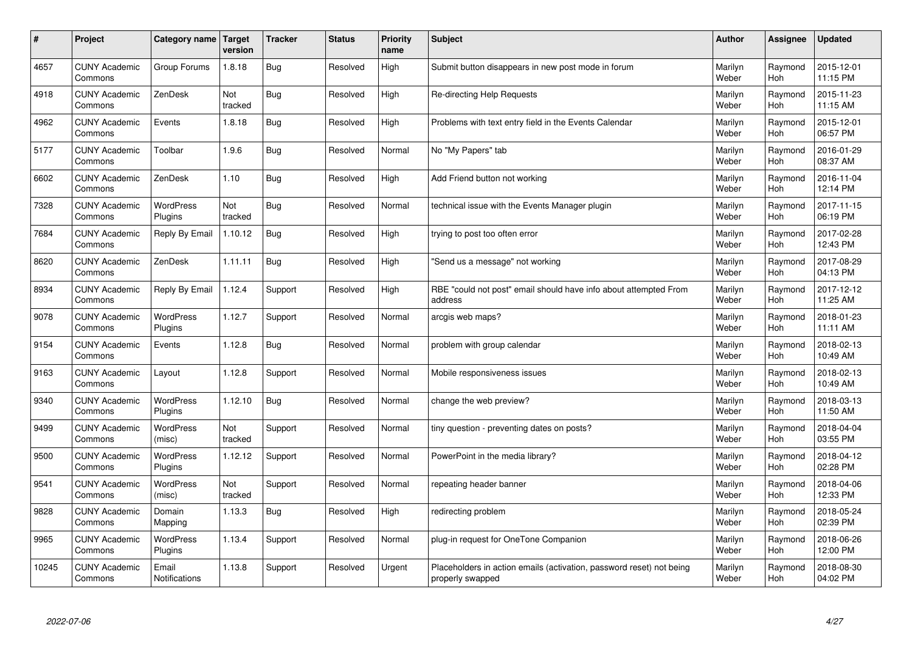| $\vert$ # | Project                         | Category name                 | <b>Target</b><br>version | <b>Tracker</b> | <b>Status</b> | <b>Priority</b><br>name | <b>Subject</b>                                                                           | <b>Author</b>    | <b>Assignee</b>       | <b>Updated</b>         |
|-----------|---------------------------------|-------------------------------|--------------------------|----------------|---------------|-------------------------|------------------------------------------------------------------------------------------|------------------|-----------------------|------------------------|
| 4657      | <b>CUNY Academic</b><br>Commons | Group Forums                  | 1.8.18                   | <b>Bug</b>     | Resolved      | High                    | Submit button disappears in new post mode in forum                                       | Marilyn<br>Weber | Raymond<br>Hoh        | 2015-12-01<br>11:15 PM |
| 4918      | <b>CUNY Academic</b><br>Commons | ZenDesk                       | Not<br>tracked           | <b>Bug</b>     | Resolved      | High                    | Re-directing Help Requests                                                               | Marilyn<br>Weber | Raymond<br>Hoh        | 2015-11-23<br>11:15 AM |
| 4962      | <b>CUNY Academic</b><br>Commons | Events                        | 1.8.18                   | <b>Bug</b>     | Resolved      | High                    | Problems with text entry field in the Events Calendar                                    | Marilyn<br>Weber | Raymond<br>Hoh        | 2015-12-01<br>06:57 PM |
| 5177      | <b>CUNY Academic</b><br>Commons | Toolbar                       | 1.9.6                    | <b>Bug</b>     | Resolved      | Normal                  | No "My Papers" tab                                                                       | Marilyn<br>Weber | Raymond<br><b>Hoh</b> | 2016-01-29<br>08:37 AM |
| 6602      | <b>CUNY Academic</b><br>Commons | ZenDesk                       | 1.10                     | Bug            | Resolved      | High                    | Add Friend button not working                                                            | Marilyn<br>Weber | Raymond<br>Hoh        | 2016-11-04<br>12:14 PM |
| 7328      | <b>CUNY Academic</b><br>Commons | <b>WordPress</b><br>Plugins   | Not<br>tracked           | Bug            | Resolved      | Normal                  | technical issue with the Events Manager plugin                                           | Marilyn<br>Weber | Raymond<br>Hoh        | 2017-11-15<br>06:19 PM |
| 7684      | <b>CUNY Academic</b><br>Commons | Reply By Email                | 1.10.12                  | <b>Bug</b>     | Resolved      | High                    | trying to post too often error                                                           | Marilyn<br>Weber | Raymond<br>Hoh        | 2017-02-28<br>12:43 PM |
| 8620      | <b>CUNY Academic</b><br>Commons | ZenDesk                       | 1.11.11                  | Bug            | Resolved      | High                    | 'Send us a message" not working                                                          | Marilyn<br>Weber | Raymond<br>Hoh        | 2017-08-29<br>04:13 PM |
| 8934      | <b>CUNY Academic</b><br>Commons | Reply By Email                | 1.12.4                   | Support        | Resolved      | High                    | RBE "could not post" email should have info about attempted From<br>address              | Marilyn<br>Weber | Raymond<br>Hoh        | 2017-12-12<br>11:25 AM |
| 9078      | <b>CUNY Academic</b><br>Commons | WordPress<br>Plugins          | 1.12.7                   | Support        | Resolved      | Normal                  | arcgis web maps?                                                                         | Marilyn<br>Weber | Raymond<br>Hoh        | 2018-01-23<br>11:11 AM |
| 9154      | <b>CUNY Academic</b><br>Commons | Events                        | 1.12.8                   | <b>Bug</b>     | Resolved      | Normal                  | problem with group calendar                                                              | Marilyn<br>Weber | Raymond<br>Hoh        | 2018-02-13<br>10:49 AM |
| 9163      | <b>CUNY Academic</b><br>Commons | Layout                        | 1.12.8                   | Support        | Resolved      | Normal                  | Mobile responsiveness issues                                                             | Marilyn<br>Weber | Raymond<br>Hoh        | 2018-02-13<br>10:49 AM |
| 9340      | <b>CUNY Academic</b><br>Commons | <b>WordPress</b><br>Plugins   | 1.12.10                  | <b>Bug</b>     | Resolved      | Normal                  | change the web preview?                                                                  | Marilyn<br>Weber | Raymond<br>Hoh        | 2018-03-13<br>11:50 AM |
| 9499      | <b>CUNY Academic</b><br>Commons | <b>WordPress</b><br>(misc)    | Not<br>tracked           | Support        | Resolved      | Normal                  | tiny question - preventing dates on posts?                                               | Marilyn<br>Weber | Raymond<br><b>Hoh</b> | 2018-04-04<br>03:55 PM |
| 9500      | <b>CUNY Academic</b><br>Commons | <b>WordPress</b><br>Plugins   | 1.12.12                  | Support        | Resolved      | Normal                  | PowerPoint in the media library?                                                         | Marilyn<br>Weber | Raymond<br>Hoh        | 2018-04-12<br>02:28 PM |
| 9541      | <b>CUNY Academic</b><br>Commons | WordPress<br>(misc)           | Not<br>tracked           | Support        | Resolved      | Normal                  | repeating header banner                                                                  | Marilyn<br>Weber | Raymond<br>Hoh        | 2018-04-06<br>12:33 PM |
| 9828      | <b>CUNY Academic</b><br>Commons | Domain<br>Mapping             | 1.13.3                   | <b>Bug</b>     | Resolved      | High                    | redirecting problem                                                                      | Marilyn<br>Weber | Raymond<br>Hoh        | 2018-05-24<br>02:39 PM |
| 9965      | <b>CUNY Academic</b><br>Commons | WordPress<br>Plugins          | 1.13.4                   | Support        | Resolved      | Normal                  | plug-in request for OneTone Companion                                                    | Marilyn<br>Weber | Raymond<br><b>Hoh</b> | 2018-06-26<br>12:00 PM |
| 10245     | <b>CUNY Academic</b><br>Commons | Email<br><b>Notifications</b> | 1.13.8                   | Support        | Resolved      | Urgent                  | Placeholders in action emails (activation, password reset) not being<br>properly swapped | Marilyn<br>Weber | Raymond<br>Hoh        | 2018-08-30<br>04:02 PM |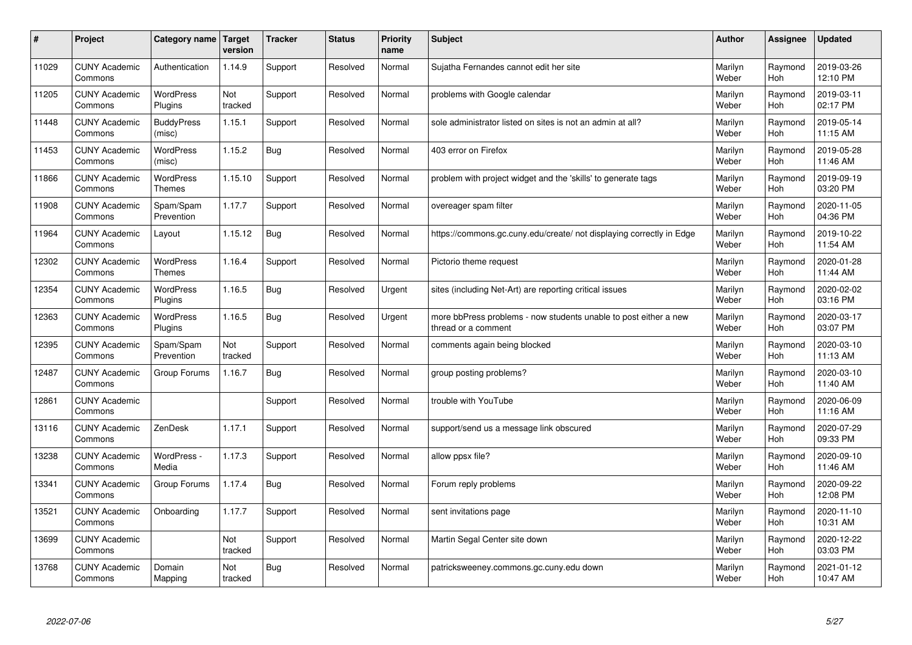| $\sharp$ | Project                         | Category name                     | Target<br>version | <b>Tracker</b> | <b>Status</b> | <b>Priority</b><br>name | <b>Subject</b>                                                                          | <b>Author</b>    | Assignee       | <b>Updated</b>         |
|----------|---------------------------------|-----------------------------------|-------------------|----------------|---------------|-------------------------|-----------------------------------------------------------------------------------------|------------------|----------------|------------------------|
| 11029    | <b>CUNY Academic</b><br>Commons | Authentication                    | 1.14.9            | Support        | Resolved      | Normal                  | Sujatha Fernandes cannot edit her site                                                  | Marilyn<br>Weber | Raymond<br>Hoh | 2019-03-26<br>12:10 PM |
| 11205    | <b>CUNY Academic</b><br>Commons | <b>WordPress</b><br>Plugins       | Not<br>tracked    | Support        | Resolved      | Normal                  | problems with Google calendar                                                           | Marilyn<br>Weber | Raymond<br>Hoh | 2019-03-11<br>02:17 PM |
| 11448    | <b>CUNY Academic</b><br>Commons | <b>BuddyPress</b><br>(misc)       | 1.15.1            | Support        | Resolved      | Normal                  | sole administrator listed on sites is not an admin at all?                              | Marilyn<br>Weber | Raymond<br>Hoh | 2019-05-14<br>11:15 AM |
| 11453    | <b>CUNY Academic</b><br>Commons | <b>WordPress</b><br>(misc)        | 1.15.2            | <b>Bug</b>     | Resolved      | Normal                  | 403 error on Firefox                                                                    | Marilyn<br>Weber | Raymond<br>Hoh | 2019-05-28<br>11:46 AM |
| 11866    | <b>CUNY Academic</b><br>Commons | <b>WordPress</b><br><b>Themes</b> | 1.15.10           | Support        | Resolved      | Normal                  | problem with project widget and the 'skills' to generate tags                           | Marilyn<br>Weber | Raymond<br>Hoh | 2019-09-19<br>03:20 PM |
| 11908    | <b>CUNY Academic</b><br>Commons | Spam/Spam<br>Prevention           | 1.17.7            | Support        | Resolved      | Normal                  | overeager spam filter                                                                   | Marilyn<br>Weber | Raymond<br>Hoh | 2020-11-05<br>04:36 PM |
| 11964    | <b>CUNY Academic</b><br>Commons | Layout                            | 1.15.12           | <b>Bug</b>     | Resolved      | Normal                  | https://commons.gc.cuny.edu/create/ not displaying correctly in Edge                    | Marilyn<br>Weber | Raymond<br>Hoh | 2019-10-22<br>11:54 AM |
| 12302    | <b>CUNY Academic</b><br>Commons | <b>WordPress</b><br>Themes        | 1.16.4            | Support        | Resolved      | Normal                  | Pictorio theme request                                                                  | Marilyn<br>Weber | Raymond<br>Hoh | 2020-01-28<br>11:44 AM |
| 12354    | <b>CUNY Academic</b><br>Commons | <b>WordPress</b><br>Plugins       | 1.16.5            | Bug            | Resolved      | Urgent                  | sites (including Net-Art) are reporting critical issues                                 | Marilyn<br>Weber | Raymond<br>Hoh | 2020-02-02<br>03:16 PM |
| 12363    | <b>CUNY Academic</b><br>Commons | <b>WordPress</b><br>Plugins       | 1.16.5            | <b>Bug</b>     | Resolved      | Urgent                  | more bbPress problems - now students unable to post either a new<br>thread or a comment | Marilyn<br>Weber | Raymond<br>Hoh | 2020-03-17<br>03:07 PM |
| 12395    | <b>CUNY Academic</b><br>Commons | Spam/Spam<br>Prevention           | Not<br>tracked    | Support        | Resolved      | Normal                  | comments again being blocked                                                            | Marilyn<br>Weber | Raymond<br>Hoh | 2020-03-10<br>11:13 AM |
| 12487    | <b>CUNY Academic</b><br>Commons | Group Forums                      | 1.16.7            | <b>Bug</b>     | Resolved      | Normal                  | group posting problems?                                                                 | Marilyn<br>Weber | Raymond<br>Hoh | 2020-03-10<br>11:40 AM |
| 12861    | <b>CUNY Academic</b><br>Commons |                                   |                   | Support        | Resolved      | Normal                  | trouble with YouTube                                                                    | Marilyn<br>Weber | Raymond<br>Hoh | 2020-06-09<br>11:16 AM |
| 13116    | <b>CUNY Academic</b><br>Commons | ZenDesk                           | 1.17.1            | Support        | Resolved      | Normal                  | support/send us a message link obscured                                                 | Marilyn<br>Weber | Raymond<br>Hoh | 2020-07-29<br>09:33 PM |
| 13238    | <b>CUNY Academic</b><br>Commons | WordPress -<br>Media              | 1.17.3            | Support        | Resolved      | Normal                  | allow ppsx file?                                                                        | Marilyn<br>Weber | Raymond<br>Hoh | 2020-09-10<br>11:46 AM |
| 13341    | <b>CUNY Academic</b><br>Commons | Group Forums                      | 1.17.4            | Bug            | Resolved      | Normal                  | Forum reply problems                                                                    | Marilyn<br>Weber | Raymond<br>Hoh | 2020-09-22<br>12:08 PM |
| 13521    | <b>CUNY Academic</b><br>Commons | Onboarding                        | 1.17.7            | Support        | Resolved      | Normal                  | sent invitations page                                                                   | Marilyn<br>Weber | Raymond<br>Hoh | 2020-11-10<br>10:31 AM |
| 13699    | <b>CUNY Academic</b><br>Commons |                                   | Not<br>tracked    | Support        | Resolved      | Normal                  | Martin Segal Center site down                                                           | Marilyn<br>Weber | Raymond<br>Hoh | 2020-12-22<br>03:03 PM |
| 13768    | <b>CUNY Academic</b><br>Commons | Domain<br>Mapping                 | Not<br>tracked    | <b>Bug</b>     | Resolved      | Normal                  | patricksweeney.commons.gc.cuny.edu down                                                 | Marilyn<br>Weber | Raymond<br>Hoh | 2021-01-12<br>10:47 AM |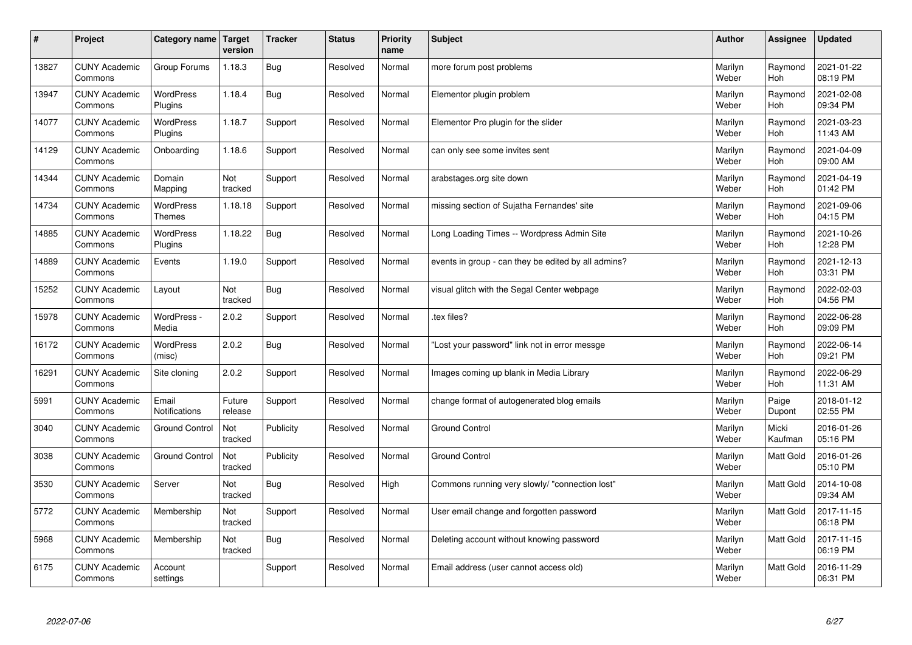| $\pmb{\#}$ | Project                         | Category name                     | <b>Target</b><br>version | <b>Tracker</b> | <b>Status</b> | <b>Priority</b><br>name | <b>Subject</b>                                      | <b>Author</b>    | Assignee              | <b>Updated</b>         |
|------------|---------------------------------|-----------------------------------|--------------------------|----------------|---------------|-------------------------|-----------------------------------------------------|------------------|-----------------------|------------------------|
| 13827      | <b>CUNY Academic</b><br>Commons | Group Forums                      | 1.18.3                   | <b>Bug</b>     | Resolved      | Normal                  | more forum post problems                            | Marilyn<br>Weber | Raymond<br><b>Hoh</b> | 2021-01-22<br>08:19 PM |
| 13947      | <b>CUNY Academic</b><br>Commons | <b>WordPress</b><br>Plugins       | 1.18.4                   | <b>Bug</b>     | Resolved      | Normal                  | Elementor plugin problem                            | Marilyn<br>Weber | Raymond<br><b>Hoh</b> | 2021-02-08<br>09:34 PM |
| 14077      | <b>CUNY Academic</b><br>Commons | <b>WordPress</b><br>Plugins       | 1.18.7                   | Support        | Resolved      | Normal                  | Elementor Pro plugin for the slider                 | Marilyn<br>Weber | Raymond<br>Hoh        | 2021-03-23<br>11:43 AM |
| 14129      | <b>CUNY Academic</b><br>Commons | Onboarding                        | 1.18.6                   | Support        | Resolved      | Normal                  | can only see some invites sent                      | Marilyn<br>Weber | Raymond<br>Hoh        | 2021-04-09<br>09:00 AM |
| 14344      | <b>CUNY Academic</b><br>Commons | Domain<br>Mapping                 | Not<br>tracked           | Support        | Resolved      | Normal                  | arabstages.org site down                            | Marilyn<br>Weber | Raymond<br>Hoh        | 2021-04-19<br>01:42 PM |
| 14734      | <b>CUNY Academic</b><br>Commons | <b>WordPress</b><br><b>Themes</b> | 1.18.18                  | Support        | Resolved      | Normal                  | missing section of Sujatha Fernandes' site          | Marilyn<br>Weber | Raymond<br>Hoh        | 2021-09-06<br>04:15 PM |
| 14885      | <b>CUNY Academic</b><br>Commons | <b>WordPress</b><br>Plugins       | 1.18.22                  | Bug            | Resolved      | Normal                  | Long Loading Times -- Wordpress Admin Site          | Marilyn<br>Weber | Raymond<br>Hoh        | 2021-10-26<br>12:28 PM |
| 14889      | <b>CUNY Academic</b><br>Commons | Events                            | 1.19.0                   | Support        | Resolved      | Normal                  | events in group - can they be edited by all admins? | Marilyn<br>Weber | Raymond<br>Hoh        | 2021-12-13<br>03:31 PM |
| 15252      | <b>CUNY Academic</b><br>Commons | Layout                            | Not<br>tracked           | <b>Bug</b>     | Resolved      | Normal                  | visual glitch with the Segal Center webpage         | Marilyn<br>Weber | Raymond<br>Hoh        | 2022-02-03<br>04:56 PM |
| 15978      | <b>CUNY Academic</b><br>Commons | WordPress -<br>Media              | 2.0.2                    | Support        | Resolved      | Normal                  | .tex files?                                         | Marilyn<br>Weber | Raymond<br><b>Hoh</b> | 2022-06-28<br>09:09 PM |
| 16172      | <b>CUNY Academic</b><br>Commons | <b>WordPress</b><br>(misc)        | 2.0.2                    | <b>Bug</b>     | Resolved      | Normal                  | Lost your password" link not in error messge        | Marilyn<br>Weber | Raymond<br><b>Hoh</b> | 2022-06-14<br>09:21 PM |
| 16291      | <b>CUNY Academic</b><br>Commons | Site cloning                      | 2.0.2                    | Support        | Resolved      | Normal                  | Images coming up blank in Media Library             | Marilyn<br>Weber | Raymond<br>Hoh        | 2022-06-29<br>11:31 AM |
| 5991       | <b>CUNY Academic</b><br>Commons | Email<br>Notifications            | Future<br>release        | Support        | Resolved      | Normal                  | change format of autogenerated blog emails          | Marilyn<br>Weber | Paige<br>Dupont       | 2018-01-12<br>02:55 PM |
| 3040       | <b>CUNY Academic</b><br>Commons | <b>Ground Control</b>             | Not<br>tracked           | Publicity      | Resolved      | Normal                  | <b>Ground Control</b>                               | Marilyn<br>Weber | Micki<br>Kaufman      | 2016-01-26<br>05:16 PM |
| 3038       | <b>CUNY Academic</b><br>Commons | <b>Ground Control</b>             | Not<br>tracked           | Publicity      | Resolved      | Normal                  | <b>Ground Control</b>                               | Marilyn<br>Weber | Matt Gold             | 2016-01-26<br>05:10 PM |
| 3530       | <b>CUNY Academic</b><br>Commons | Server                            | Not<br>tracked           | Bug            | Resolved      | High                    | Commons running very slowly/ "connection lost"      | Marilyn<br>Weber | Matt Gold             | 2014-10-08<br>09:34 AM |
| 5772       | <b>CUNY Academic</b><br>Commons | Membership                        | Not<br>tracked           | Support        | Resolved      | Normal                  | User email change and forgotten password            | Marilyn<br>Weber | Matt Gold             | 2017-11-15<br>06:18 PM |
| 5968       | <b>CUNY Academic</b><br>Commons | Membership                        | Not<br>tracked           | <b>Bug</b>     | Resolved      | Normal                  | Deleting account without knowing password           | Marilyn<br>Weber | Matt Gold             | 2017-11-15<br>06:19 PM |
| 6175       | <b>CUNY Academic</b><br>Commons | Account<br>settings               |                          | Support        | Resolved      | Normal                  | Email address (user cannot access old)              | Marilyn<br>Weber | <b>Matt Gold</b>      | 2016-11-29<br>06:31 PM |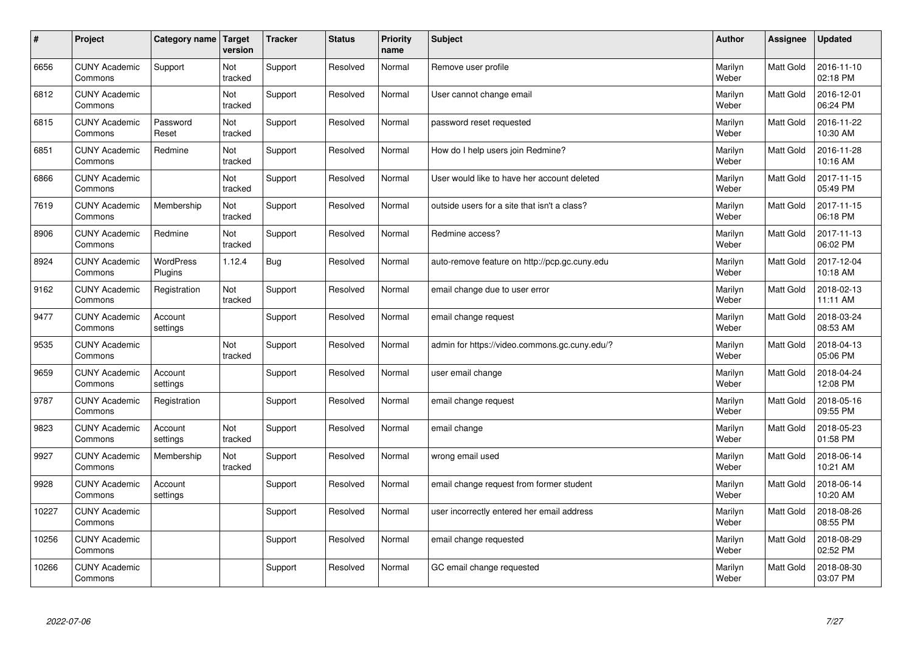| $\vert$ # | Project                         | Category name               | <b>Target</b><br>version | <b>Tracker</b> | <b>Status</b> | <b>Priority</b><br>name | <b>Subject</b>                                | <b>Author</b>    | <b>Assignee</b>  | <b>Updated</b>         |
|-----------|---------------------------------|-----------------------------|--------------------------|----------------|---------------|-------------------------|-----------------------------------------------|------------------|------------------|------------------------|
| 6656      | <b>CUNY Academic</b><br>Commons | Support                     | Not<br>tracked           | Support        | Resolved      | Normal                  | Remove user profile                           | Marilyn<br>Weber | <b>Matt Gold</b> | 2016-11-10<br>02:18 PM |
| 6812      | <b>CUNY Academic</b><br>Commons |                             | Not<br>tracked           | Support        | Resolved      | Normal                  | User cannot change email                      | Marilyn<br>Weber | <b>Matt Gold</b> | 2016-12-01<br>06:24 PM |
| 6815      | <b>CUNY Academic</b><br>Commons | Password<br>Reset           | Not<br>tracked           | Support        | Resolved      | Normal                  | password reset requested                      | Marilyn<br>Weber | <b>Matt Gold</b> | 2016-11-22<br>10:30 AM |
| 6851      | <b>CUNY Academic</b><br>Commons | Redmine                     | Not<br>tracked           | Support        | Resolved      | Normal                  | How do I help users join Redmine?             | Marilyn<br>Weber | <b>Matt Gold</b> | 2016-11-28<br>10:16 AM |
| 6866      | <b>CUNY Academic</b><br>Commons |                             | Not<br>tracked           | Support        | Resolved      | Normal                  | User would like to have her account deleted   | Marilyn<br>Weber | Matt Gold        | 2017-11-15<br>05:49 PM |
| 7619      | <b>CUNY Academic</b><br>Commons | Membership                  | Not<br>tracked           | Support        | Resolved      | Normal                  | outside users for a site that isn't a class?  | Marilyn<br>Weber | Matt Gold        | 2017-11-15<br>06:18 PM |
| 8906      | <b>CUNY Academic</b><br>Commons | Redmine                     | Not<br>tracked           | Support        | Resolved      | Normal                  | Redmine access?                               | Marilyn<br>Weber | Matt Gold        | 2017-11-13<br>06:02 PM |
| 8924      | <b>CUNY Academic</b><br>Commons | <b>WordPress</b><br>Plugins | 1.12.4                   | <b>Bug</b>     | Resolved      | Normal                  | auto-remove feature on http://pcp.gc.cuny.edu | Marilyn<br>Weber | Matt Gold        | 2017-12-04<br>10:18 AM |
| 9162      | <b>CUNY Academic</b><br>Commons | Registration                | Not<br>tracked           | Support        | Resolved      | Normal                  | email change due to user error                | Marilyn<br>Weber | Matt Gold        | 2018-02-13<br>11:11 AM |
| 9477      | <b>CUNY Academic</b><br>Commons | Account<br>settings         |                          | Support        | Resolved      | Normal                  | email change request                          | Marilyn<br>Weber | <b>Matt Gold</b> | 2018-03-24<br>08:53 AM |
| 9535      | <b>CUNY Academic</b><br>Commons |                             | Not<br>tracked           | Support        | Resolved      | Normal                  | admin for https://video.commons.gc.cuny.edu/? | Marilyn<br>Weber | Matt Gold        | 2018-04-13<br>05:06 PM |
| 9659      | <b>CUNY Academic</b><br>Commons | Account<br>settings         |                          | Support        | Resolved      | Normal                  | user email change                             | Marilyn<br>Weber | Matt Gold        | 2018-04-24<br>12:08 PM |
| 9787      | <b>CUNY Academic</b><br>Commons | Registration                |                          | Support        | Resolved      | Normal                  | email change request                          | Marilyn<br>Weber | Matt Gold        | 2018-05-16<br>09:55 PM |
| 9823      | <b>CUNY Academic</b><br>Commons | Account<br>settings         | Not<br>tracked           | Support        | Resolved      | Normal                  | email change                                  | Marilyn<br>Weber | Matt Gold        | 2018-05-23<br>01:58 PM |
| 9927      | <b>CUNY Academic</b><br>Commons | Membership                  | Not<br>tracked           | Support        | Resolved      | Normal                  | wrong email used                              | Marilyn<br>Weber | Matt Gold        | 2018-06-14<br>10:21 AM |
| 9928      | <b>CUNY Academic</b><br>Commons | Account<br>settings         |                          | Support        | Resolved      | Normal                  | email change request from former student      | Marilyn<br>Weber | <b>Matt Gold</b> | 2018-06-14<br>10:20 AM |
| 10227     | <b>CUNY Academic</b><br>Commons |                             |                          | Support        | Resolved      | Normal                  | user incorrectly entered her email address    | Marilyn<br>Weber | Matt Gold        | 2018-08-26<br>08:55 PM |
| 10256     | <b>CUNY Academic</b><br>Commons |                             |                          | Support        | Resolved      | Normal                  | email change requested                        | Marilyn<br>Weber | <b>Matt Gold</b> | 2018-08-29<br>02:52 PM |
| 10266     | <b>CUNY Academic</b><br>Commons |                             |                          | Support        | Resolved      | Normal                  | GC email change requested                     | Marilyn<br>Weber | Matt Gold        | 2018-08-30<br>03:07 PM |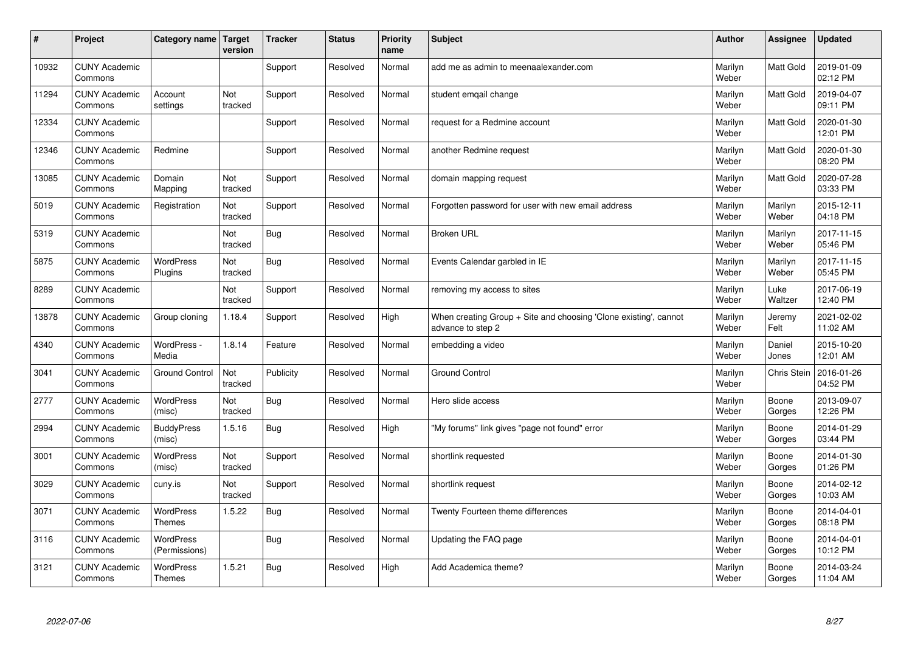| #     | Project                         | Category name   Target            | version        | <b>Tracker</b> | <b>Status</b> | <b>Priority</b><br>name | <b>Subject</b>                                                                        | <b>Author</b>    | Assignee         | <b>Updated</b>         |
|-------|---------------------------------|-----------------------------------|----------------|----------------|---------------|-------------------------|---------------------------------------------------------------------------------------|------------------|------------------|------------------------|
| 10932 | <b>CUNY Academic</b><br>Commons |                                   |                | Support        | Resolved      | Normal                  | add me as admin to meenaalexander.com                                                 | Marilyn<br>Weber | Matt Gold        | 2019-01-09<br>02:12 PM |
| 11294 | <b>CUNY Academic</b><br>Commons | Account<br>settings               | Not<br>tracked | Support        | Resolved      | Normal                  | student emgail change                                                                 | Marilyn<br>Weber | <b>Matt Gold</b> | 2019-04-07<br>09:11 PM |
| 12334 | <b>CUNY Academic</b><br>Commons |                                   |                | Support        | Resolved      | Normal                  | request for a Redmine account                                                         | Marilyn<br>Weber | Matt Gold        | 2020-01-30<br>12:01 PM |
| 12346 | <b>CUNY Academic</b><br>Commons | Redmine                           |                | Support        | Resolved      | Normal                  | another Redmine request                                                               | Marilyn<br>Weber | Matt Gold        | 2020-01-30<br>08:20 PM |
| 13085 | <b>CUNY Academic</b><br>Commons | Domain<br>Mapping                 | Not<br>tracked | Support        | Resolved      | Normal                  | domain mapping request                                                                | Marilyn<br>Weber | Matt Gold        | 2020-07-28<br>03:33 PM |
| 5019  | <b>CUNY Academic</b><br>Commons | Registration                      | Not<br>tracked | Support        | Resolved      | Normal                  | Forgotten password for user with new email address                                    | Marilyn<br>Weber | Marilyn<br>Weber | 2015-12-11<br>04:18 PM |
| 5319  | <b>CUNY Academic</b><br>Commons |                                   | Not<br>tracked | <b>Bug</b>     | Resolved      | Normal                  | <b>Broken URL</b>                                                                     | Marilyn<br>Weber | Marilyn<br>Weber | 2017-11-15<br>05:46 PM |
| 5875  | <b>CUNY Academic</b><br>Commons | <b>WordPress</b><br>Plugins       | Not<br>tracked | <b>Bug</b>     | Resolved      | Normal                  | Events Calendar garbled in IE                                                         | Marilyn<br>Weber | Marilyn<br>Weber | 2017-11-15<br>05:45 PM |
| 8289  | <b>CUNY Academic</b><br>Commons |                                   | Not<br>tracked | Support        | Resolved      | Normal                  | removing my access to sites                                                           | Marilyn<br>Weber | Luke<br>Waltzer  | 2017-06-19<br>12:40 PM |
| 13878 | <b>CUNY Academic</b><br>Commons | Group cloning                     | 1.18.4         | Support        | Resolved      | High                    | When creating Group + Site and choosing 'Clone existing', cannot<br>advance to step 2 | Marilyn<br>Weber | Jeremy<br>Felt   | 2021-02-02<br>11:02 AM |
| 4340  | <b>CUNY Academic</b><br>Commons | WordPress -<br>Media              | 1.8.14         | Feature        | Resolved      | Normal                  | embedding a video                                                                     | Marilyn<br>Weber | Daniel<br>Jones  | 2015-10-20<br>12:01 AM |
| 3041  | <b>CUNY Academic</b><br>Commons | <b>Ground Control</b>             | Not<br>tracked | Publicity      | Resolved      | Normal                  | <b>Ground Control</b>                                                                 | Marilyn<br>Weber | Chris Stein      | 2016-01-26<br>04:52 PM |
| 2777  | <b>CUNY Academic</b><br>Commons | <b>WordPress</b><br>(misc)        | Not<br>tracked | <b>Bug</b>     | Resolved      | Normal                  | Hero slide access                                                                     | Marilyn<br>Weber | Boone<br>Gorges  | 2013-09-07<br>12:26 PM |
| 2994  | <b>CUNY Academic</b><br>Commons | <b>BuddyPress</b><br>(misc)       | 1.5.16         | <b>Bug</b>     | Resolved      | High                    | "My forums" link gives "page not found" error                                         | Marilyn<br>Weber | Boone<br>Gorges  | 2014-01-29<br>03:44 PM |
| 3001  | <b>CUNY Academic</b><br>Commons | WordPress<br>(misc)               | Not<br>tracked | Support        | Resolved      | Normal                  | shortlink requested                                                                   | Marilyn<br>Weber | Boone<br>Gorges  | 2014-01-30<br>01:26 PM |
| 3029  | <b>CUNY Academic</b><br>Commons | cuny.is                           | Not<br>tracked | Support        | Resolved      | Normal                  | shortlink request                                                                     | Marilyn<br>Weber | Boone<br>Gorges  | 2014-02-12<br>10:03 AM |
| 3071  | <b>CUNY Academic</b><br>Commons | <b>WordPress</b><br>Themes        | 1.5.22         | Bug            | Resolved      | Normal                  | Twenty Fourteen theme differences                                                     | Marilyn<br>Weber | Boone<br>Gorges  | 2014-04-01<br>08:18 PM |
| 3116  | <b>CUNY Academic</b><br>Commons | WordPress<br>(Permissions)        |                | <b>Bug</b>     | Resolved      | Normal                  | Updating the FAQ page                                                                 | Marilyn<br>Weber | Boone<br>Gorges  | 2014-04-01<br>10:12 PM |
| 3121  | <b>CUNY Academic</b><br>Commons | <b>WordPress</b><br><b>Themes</b> | 1.5.21         | Bug            | Resolved      | High                    | Add Academica theme?                                                                  | Marilyn<br>Weber | Boone<br>Gorges  | 2014-03-24<br>11:04 AM |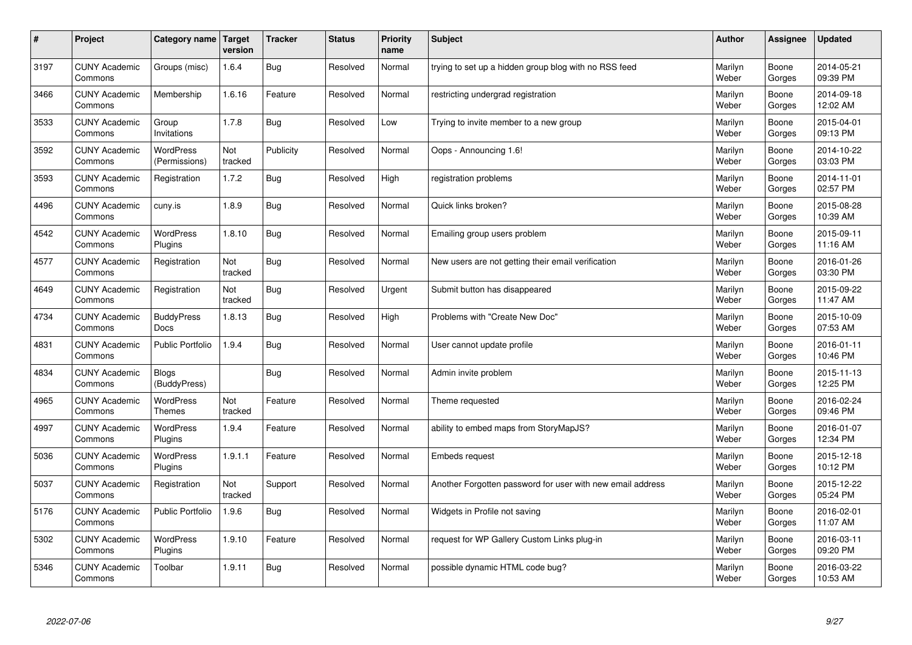| $\sharp$ | Project                         | Category name                     | <b>Target</b><br>version | <b>Tracker</b> | <b>Status</b> | <b>Priority</b><br>name | <b>Subject</b>                                             | <b>Author</b>    | Assignee        | <b>Updated</b>         |
|----------|---------------------------------|-----------------------------------|--------------------------|----------------|---------------|-------------------------|------------------------------------------------------------|------------------|-----------------|------------------------|
| 3197     | <b>CUNY Academic</b><br>Commons | Groups (misc)                     | 1.6.4                    | <b>Bug</b>     | Resolved      | Normal                  | trying to set up a hidden group blog with no RSS feed      | Marilyn<br>Weber | Boone<br>Gorges | 2014-05-21<br>09:39 PM |
| 3466     | <b>CUNY Academic</b><br>Commons | Membership                        | 1.6.16                   | Feature        | Resolved      | Normal                  | restricting undergrad registration                         | Marilyn<br>Weber | Boone<br>Gorges | 2014-09-18<br>12:02 AM |
| 3533     | <b>CUNY Academic</b><br>Commons | Group<br>Invitations              | 1.7.8                    | <b>Bug</b>     | Resolved      | Low                     | Trying to invite member to a new group                     | Marilyn<br>Weber | Boone<br>Gorges | 2015-04-01<br>09:13 PM |
| 3592     | <b>CUNY Academic</b><br>Commons | <b>WordPress</b><br>(Permissions) | Not<br>tracked           | Publicity      | Resolved      | Normal                  | Oops - Announcing 1.6!                                     | Marilyn<br>Weber | Boone<br>Gorges | 2014-10-22<br>03:03 PM |
| 3593     | <b>CUNY Academic</b><br>Commons | Registration                      | 1.7.2                    | <b>Bug</b>     | Resolved      | High                    | registration problems                                      | Marilyn<br>Weber | Boone<br>Gorges | 2014-11-01<br>02:57 PM |
| 4496     | <b>CUNY Academic</b><br>Commons | cuny.is                           | 1.8.9                    | Bug            | Resolved      | Normal                  | Quick links broken?                                        | Marilyn<br>Weber | Boone<br>Gorges | 2015-08-28<br>10:39 AM |
| 4542     | <b>CUNY Academic</b><br>Commons | WordPress<br>Plugins              | 1.8.10                   | <b>Bug</b>     | Resolved      | Normal                  | Emailing group users problem                               | Marilyn<br>Weber | Boone<br>Gorges | 2015-09-11<br>11:16 AM |
| 4577     | <b>CUNY Academic</b><br>Commons | Registration                      | Not<br>tracked           | Bug            | Resolved      | Normal                  | New users are not getting their email verification         | Marilyn<br>Weber | Boone<br>Gorges | 2016-01-26<br>03:30 PM |
| 4649     | <b>CUNY Academic</b><br>Commons | Registration                      | Not<br>tracked           | Bug            | Resolved      | Urgent                  | Submit button has disappeared                              | Marilyn<br>Weber | Boone<br>Gorges | 2015-09-22<br>11:47 AM |
| 4734     | <b>CUNY Academic</b><br>Commons | <b>BuddyPress</b><br>Docs         | 1.8.13                   | <b>Bug</b>     | Resolved      | High                    | Problems with "Create New Doc"                             | Marilyn<br>Weber | Boone<br>Gorges | 2015-10-09<br>07:53 AM |
| 4831     | <b>CUNY Academic</b><br>Commons | Public Portfolio                  | 1.9.4                    | <b>Bug</b>     | Resolved      | Normal                  | User cannot update profile                                 | Marilyn<br>Weber | Boone<br>Gorges | 2016-01-11<br>10:46 PM |
| 4834     | <b>CUNY Academic</b><br>Commons | <b>Blogs</b><br>(BuddyPress)      |                          | <b>Bug</b>     | Resolved      | Normal                  | Admin invite problem                                       | Marilyn<br>Weber | Boone<br>Gorges | 2015-11-13<br>12:25 PM |
| 4965     | <b>CUNY Academic</b><br>Commons | WordPress<br><b>Themes</b>        | Not<br>tracked           | Feature        | Resolved      | Normal                  | Theme requested                                            | Marilyn<br>Weber | Boone<br>Gorges | 2016-02-24<br>09:46 PM |
| 4997     | <b>CUNY Academic</b><br>Commons | WordPress<br>Plugins              | 1.9.4                    | Feature        | Resolved      | Normal                  | ability to embed maps from StoryMapJS?                     | Marilyn<br>Weber | Boone<br>Gorges | 2016-01-07<br>12:34 PM |
| 5036     | <b>CUNY Academic</b><br>Commons | <b>WordPress</b><br>Plugins       | 1.9.1.1                  | Feature        | Resolved      | Normal                  | Embeds request                                             | Marilyn<br>Weber | Boone<br>Gorges | 2015-12-18<br>10:12 PM |
| 5037     | <b>CUNY Academic</b><br>Commons | Registration                      | Not<br>tracked           | Support        | Resolved      | Normal                  | Another Forgotten password for user with new email address | Marilyn<br>Weber | Boone<br>Gorges | 2015-12-22<br>05:24 PM |
| 5176     | <b>CUNY Academic</b><br>Commons | <b>Public Portfolio</b>           | 1.9.6                    | <b>Bug</b>     | Resolved      | Normal                  | Widgets in Profile not saving                              | Marilyn<br>Weber | Boone<br>Gorges | 2016-02-01<br>11:07 AM |
| 5302     | <b>CUNY Academic</b><br>Commons | WordPress<br>Plugins              | 1.9.10                   | Feature        | Resolved      | Normal                  | request for WP Gallery Custom Links plug-in                | Marilyn<br>Weber | Boone<br>Gorges | 2016-03-11<br>09:20 PM |
| 5346     | <b>CUNY Academic</b><br>Commons | Toolbar                           | 1.9.11                   | Bug            | Resolved      | Normal                  | possible dynamic HTML code bug?                            | Marilyn<br>Weber | Boone<br>Gorges | 2016-03-22<br>10:53 AM |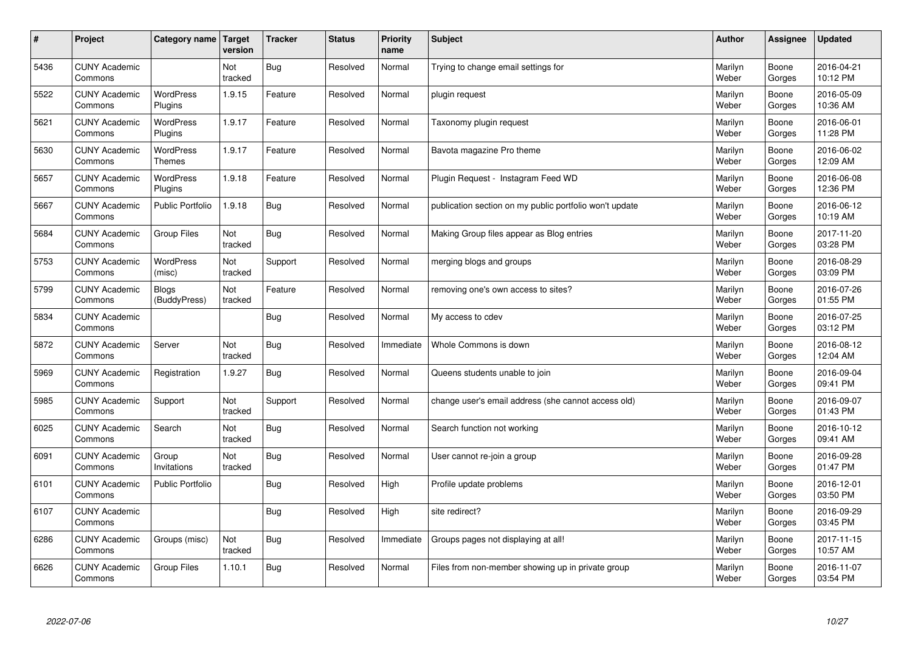| $\sharp$ | Project                         | Category name   Target            | version        | <b>Tracker</b> | <b>Status</b> | <b>Priority</b><br>name | <b>Subject</b>                                          | <b>Author</b>    | Assignee        | <b>Updated</b>         |
|----------|---------------------------------|-----------------------------------|----------------|----------------|---------------|-------------------------|---------------------------------------------------------|------------------|-----------------|------------------------|
| 5436     | <b>CUNY Academic</b><br>Commons |                                   | Not<br>tracked | Bug            | Resolved      | Normal                  | Trying to change email settings for                     | Marilyn<br>Weber | Boone<br>Gorges | 2016-04-21<br>10:12 PM |
| 5522     | <b>CUNY Academic</b><br>Commons | <b>WordPress</b><br>Plugins       | 1.9.15         | Feature        | Resolved      | Normal                  | plugin request                                          | Marilyn<br>Weber | Boone<br>Gorges | 2016-05-09<br>10:36 AM |
| 5621     | <b>CUNY Academic</b><br>Commons | <b>WordPress</b><br>Plugins       | 1.9.17         | Feature        | Resolved      | Normal                  | Taxonomy plugin request                                 | Marilyn<br>Weber | Boone<br>Gorges | 2016-06-01<br>11:28 PM |
| 5630     | <b>CUNY Academic</b><br>Commons | <b>WordPress</b><br><b>Themes</b> | 1.9.17         | Feature        | Resolved      | Normal                  | Bavota magazine Pro theme                               | Marilyn<br>Weber | Boone<br>Gorges | 2016-06-02<br>12:09 AM |
| 5657     | <b>CUNY Academic</b><br>Commons | <b>WordPress</b><br>Plugins       | 1.9.18         | Feature        | Resolved      | Normal                  | Plugin Request - Instagram Feed WD                      | Marilyn<br>Weber | Boone<br>Gorges | 2016-06-08<br>12:36 PM |
| 5667     | <b>CUNY Academic</b><br>Commons | <b>Public Portfolio</b>           | 1.9.18         | Bug            | Resolved      | Normal                  | publication section on my public portfolio won't update | Marilyn<br>Weber | Boone<br>Gorges | 2016-06-12<br>10:19 AM |
| 5684     | <b>CUNY Academic</b><br>Commons | Group Files                       | Not<br>tracked | Bug            | Resolved      | Normal                  | Making Group files appear as Blog entries               | Marilyn<br>Weber | Boone<br>Gorges | 2017-11-20<br>03:28 PM |
| 5753     | <b>CUNY Academic</b><br>Commons | WordPress<br>(misc)               | Not<br>tracked | Support        | Resolved      | Normal                  | merging blogs and groups                                | Marilyn<br>Weber | Boone<br>Gorges | 2016-08-29<br>03:09 PM |
| 5799     | <b>CUNY Academic</b><br>Commons | <b>Blogs</b><br>(BuddyPress)      | Not<br>tracked | Feature        | Resolved      | Normal                  | removing one's own access to sites?                     | Marilyn<br>Weber | Boone<br>Gorges | 2016-07-26<br>01:55 PM |
| 5834     | <b>CUNY Academic</b><br>Commons |                                   |                | Bug            | Resolved      | Normal                  | My access to cdev                                       | Marilyn<br>Weber | Boone<br>Gorges | 2016-07-25<br>03:12 PM |
| 5872     | <b>CUNY Academic</b><br>Commons | Server                            | Not<br>tracked | <b>Bug</b>     | Resolved      | Immediate               | Whole Commons is down                                   | Marilyn<br>Weber | Boone<br>Gorges | 2016-08-12<br>12:04 AM |
| 5969     | <b>CUNY Academic</b><br>Commons | Registration                      | 1.9.27         | <b>Bug</b>     | Resolved      | Normal                  | Queens students unable to join                          | Marilyn<br>Weber | Boone<br>Gorges | 2016-09-04<br>09:41 PM |
| 5985     | <b>CUNY Academic</b><br>Commons | Support                           | Not<br>tracked | Support        | Resolved      | Normal                  | change user's email address (she cannot access old)     | Marilyn<br>Weber | Boone<br>Gorges | 2016-09-07<br>01:43 PM |
| 6025     | <b>CUNY Academic</b><br>Commons | Search                            | Not<br>tracked | <b>Bug</b>     | Resolved      | Normal                  | Search function not working                             | Marilyn<br>Weber | Boone<br>Gorges | 2016-10-12<br>09:41 AM |
| 6091     | <b>CUNY Academic</b><br>Commons | Group<br>Invitations              | Not<br>tracked | <b>Bug</b>     | Resolved      | Normal                  | User cannot re-join a group                             | Marilyn<br>Weber | Boone<br>Gorges | 2016-09-28<br>01:47 PM |
| 6101     | <b>CUNY Academic</b><br>Commons | <b>Public Portfolio</b>           |                | Bug            | Resolved      | High                    | Profile update problems                                 | Marilyn<br>Weber | Boone<br>Gorges | 2016-12-01<br>03:50 PM |
| 6107     | <b>CUNY Academic</b><br>Commons |                                   |                | <b>Bug</b>     | Resolved      | High                    | site redirect?                                          | Marilyn<br>Weber | Boone<br>Gorges | 2016-09-29<br>03:45 PM |
| 6286     | <b>CUNY Academic</b><br>Commons | Groups (misc)                     | Not<br>tracked | <b>Bug</b>     | Resolved      | Immediate               | Groups pages not displaying at all!                     | Marilyn<br>Weber | Boone<br>Gorges | 2017-11-15<br>10:57 AM |
| 6626     | <b>CUNY Academic</b><br>Commons | <b>Group Files</b>                | 1.10.1         | Bug            | Resolved      | Normal                  | Files from non-member showing up in private group       | Marilyn<br>Weber | Boone<br>Gorges | 2016-11-07<br>03:54 PM |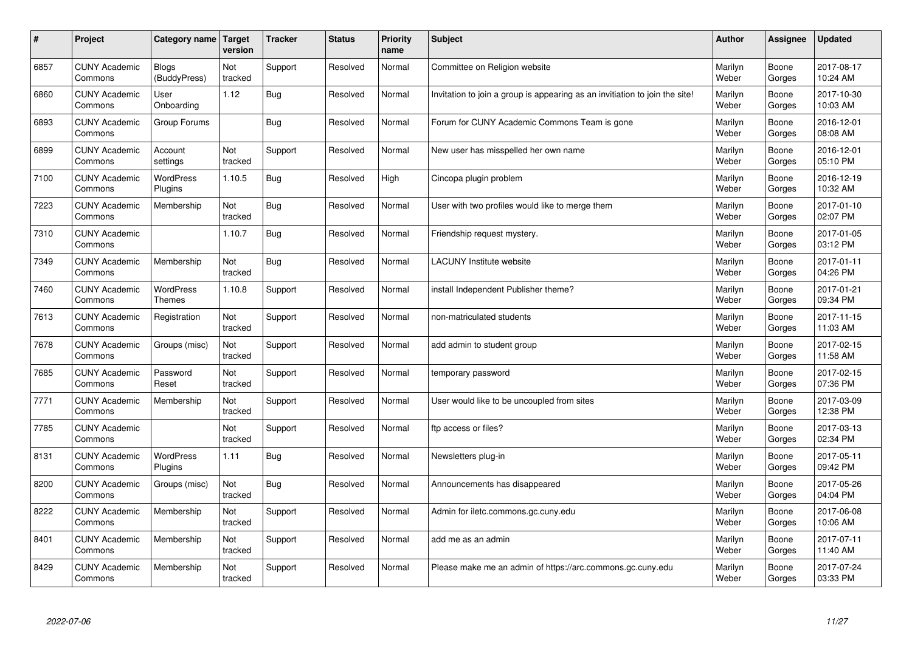| #    | Project                         | Category name                     | <b>Target</b><br>version | <b>Tracker</b> | <b>Status</b> | <b>Priority</b><br>name | <b>Subject</b>                                                              | <b>Author</b>    | Assignee        | <b>Updated</b>         |
|------|---------------------------------|-----------------------------------|--------------------------|----------------|---------------|-------------------------|-----------------------------------------------------------------------------|------------------|-----------------|------------------------|
| 6857 | <b>CUNY Academic</b><br>Commons | <b>Blogs</b><br>(BuddyPress)      | Not<br>tracked           | Support        | Resolved      | Normal                  | Committee on Religion website                                               | Marilyn<br>Weber | Boone<br>Gorges | 2017-08-17<br>10:24 AM |
| 6860 | <b>CUNY Academic</b><br>Commons | User<br>Onboarding                | 1.12                     | <b>Bug</b>     | Resolved      | Normal                  | Invitation to join a group is appearing as an invitiation to join the site! | Marilyn<br>Weber | Boone<br>Gorges | 2017-10-30<br>10:03 AM |
| 6893 | <b>CUNY Academic</b><br>Commons | Group Forums                      |                          | <b>Bug</b>     | Resolved      | Normal                  | Forum for CUNY Academic Commons Team is gone                                | Marilyn<br>Weber | Boone<br>Gorges | 2016-12-01<br>08:08 AM |
| 6899 | <b>CUNY Academic</b><br>Commons | Account<br>settings               | Not<br>tracked           | Support        | Resolved      | Normal                  | New user has misspelled her own name                                        | Marilyn<br>Weber | Boone<br>Gorges | 2016-12-01<br>05:10 PM |
| 7100 | <b>CUNY Academic</b><br>Commons | <b>WordPress</b><br>Plugins       | 1.10.5                   | <b>Bug</b>     | Resolved      | High                    | Cincopa plugin problem                                                      | Marilyn<br>Weber | Boone<br>Gorges | 2016-12-19<br>10:32 AM |
| 7223 | <b>CUNY Academic</b><br>Commons | Membership                        | Not<br>tracked           | <b>Bug</b>     | Resolved      | Normal                  | User with two profiles would like to merge them                             | Marilyn<br>Weber | Boone<br>Gorges | 2017-01-10<br>02:07 PM |
| 7310 | <b>CUNY Academic</b><br>Commons |                                   | 1.10.7                   | <b>Bug</b>     | Resolved      | Normal                  | Friendship request mystery.                                                 | Marilyn<br>Weber | Boone<br>Gorges | 2017-01-05<br>03:12 PM |
| 7349 | <b>CUNY Academic</b><br>Commons | Membership                        | Not<br>tracked           | Bug            | Resolved      | Normal                  | <b>LACUNY</b> Institute website                                             | Marilyn<br>Weber | Boone<br>Gorges | 2017-01-11<br>04:26 PM |
| 7460 | <b>CUNY Academic</b><br>Commons | <b>WordPress</b><br><b>Themes</b> | 1.10.8                   | Support        | Resolved      | Normal                  | install Independent Publisher theme?                                        | Marilyn<br>Weber | Boone<br>Gorges | 2017-01-21<br>09:34 PM |
| 7613 | <b>CUNY Academic</b><br>Commons | Registration                      | Not<br>tracked           | Support        | Resolved      | Normal                  | non-matriculated students                                                   | Marilyn<br>Weber | Boone<br>Gorges | 2017-11-15<br>11:03 AM |
| 7678 | <b>CUNY Academic</b><br>Commons | Groups (misc)                     | Not<br>tracked           | Support        | Resolved      | Normal                  | add admin to student group                                                  | Marilyn<br>Weber | Boone<br>Gorges | 2017-02-15<br>11:58 AM |
| 7685 | <b>CUNY Academic</b><br>Commons | Password<br>Reset                 | Not<br>tracked           | Support        | Resolved      | Normal                  | temporary password                                                          | Marilyn<br>Weber | Boone<br>Gorges | 2017-02-15<br>07:36 PM |
| 7771 | <b>CUNY Academic</b><br>Commons | Membership                        | Not<br>tracked           | Support        | Resolved      | Normal                  | User would like to be uncoupled from sites                                  | Marilyn<br>Weber | Boone<br>Gorges | 2017-03-09<br>12:38 PM |
| 7785 | <b>CUNY Academic</b><br>Commons |                                   | Not<br>tracked           | Support        | Resolved      | Normal                  | ftp access or files?                                                        | Marilyn<br>Weber | Boone<br>Gorges | 2017-03-13<br>02:34 PM |
| 8131 | <b>CUNY Academic</b><br>Commons | <b>WordPress</b><br>Plugins       | 1.11                     | <b>Bug</b>     | Resolved      | Normal                  | Newsletters plug-in                                                         | Marilyn<br>Weber | Boone<br>Gorges | 2017-05-11<br>09:42 PM |
| 8200 | <b>CUNY Academic</b><br>Commons | Groups (misc)                     | Not<br>tracked           | <b>Bug</b>     | Resolved      | Normal                  | Announcements has disappeared                                               | Marilyn<br>Weber | Boone<br>Gorges | 2017-05-26<br>04:04 PM |
| 8222 | <b>CUNY Academic</b><br>Commons | Membership                        | Not<br>tracked           | Support        | Resolved      | Normal                  | Admin for iletc.commons.gc.cuny.edu                                         | Marilyn<br>Weber | Boone<br>Gorges | 2017-06-08<br>10:06 AM |
| 8401 | <b>CUNY Academic</b><br>Commons | Membership                        | Not<br>tracked           | Support        | Resolved      | Normal                  | add me as an admin                                                          | Marilyn<br>Weber | Boone<br>Gorges | 2017-07-11<br>11:40 AM |
| 8429 | <b>CUNY Academic</b><br>Commons | Membership                        | Not<br>tracked           | Support        | Resolved      | Normal                  | Please make me an admin of https://arc.commons.gc.cuny.edu                  | Marilyn<br>Weber | Boone<br>Gorges | 2017-07-24<br>03:33 PM |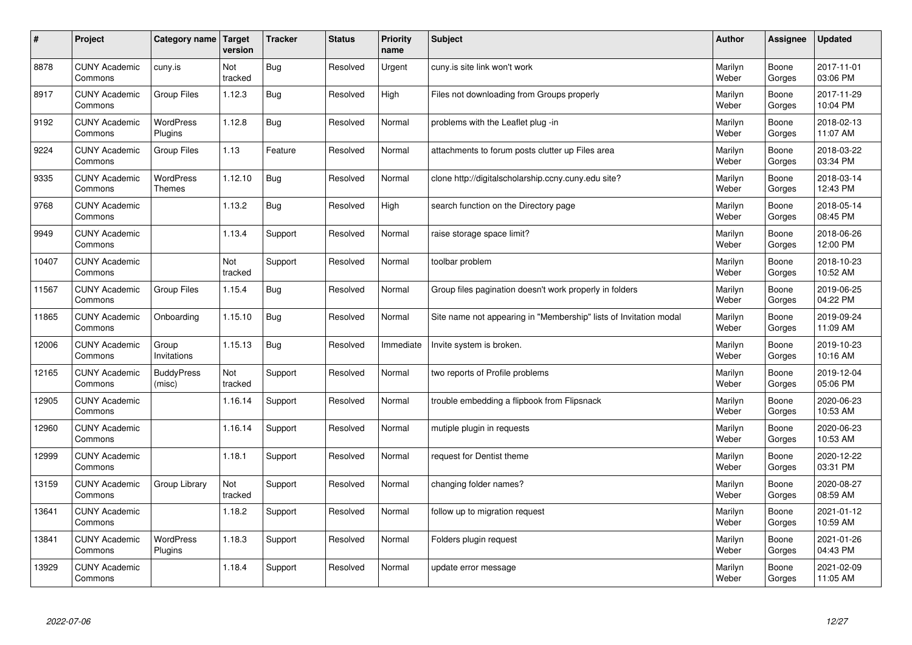| $\sharp$ | Project                         | Category name   Target            | version        | <b>Tracker</b> | <b>Status</b> | <b>Priority</b><br>name | <b>Subject</b>                                                    | <b>Author</b>    | Assignee        | <b>Updated</b>         |
|----------|---------------------------------|-----------------------------------|----------------|----------------|---------------|-------------------------|-------------------------------------------------------------------|------------------|-----------------|------------------------|
| 8878     | <b>CUNY Academic</b><br>Commons | cuny.is                           | Not<br>tracked | Bug            | Resolved      | Urgent                  | cuny is site link won't work                                      | Marilyn<br>Weber | Boone<br>Gorges | 2017-11-01<br>03:06 PM |
| 8917     | <b>CUNY Academic</b><br>Commons | <b>Group Files</b>                | 1.12.3         | <b>Bug</b>     | Resolved      | High                    | Files not downloading from Groups properly                        | Marilyn<br>Weber | Boone<br>Gorges | 2017-11-29<br>10:04 PM |
| 9192     | <b>CUNY Academic</b><br>Commons | WordPress<br>Plugins              | 1.12.8         | <b>Bug</b>     | Resolved      | Normal                  | problems with the Leaflet plug -in                                | Marilyn<br>Weber | Boone<br>Gorges | 2018-02-13<br>11:07 AM |
| 9224     | <b>CUNY Academic</b><br>Commons | Group Files                       | 1.13           | Feature        | Resolved      | Normal                  | attachments to forum posts clutter up Files area                  | Marilyn<br>Weber | Boone<br>Gorges | 2018-03-22<br>03:34 PM |
| 9335     | <b>CUNY Academic</b><br>Commons | <b>WordPress</b><br><b>Themes</b> | 1.12.10        | <b>Bug</b>     | Resolved      | Normal                  | clone http://digitalscholarship.ccny.cuny.edu site?               | Marilyn<br>Weber | Boone<br>Gorges | 2018-03-14<br>12:43 PM |
| 9768     | <b>CUNY Academic</b><br>Commons |                                   | 1.13.2         | Bug            | Resolved      | High                    | search function on the Directory page                             | Marilyn<br>Weber | Boone<br>Gorges | 2018-05-14<br>08:45 PM |
| 9949     | <b>CUNY Academic</b><br>Commons |                                   | 1.13.4         | Support        | Resolved      | Normal                  | raise storage space limit?                                        | Marilyn<br>Weber | Boone<br>Gorges | 2018-06-26<br>12:00 PM |
| 10407    | <b>CUNY Academic</b><br>Commons |                                   | Not<br>tracked | Support        | Resolved      | Normal                  | toolbar problem                                                   | Marilyn<br>Weber | Boone<br>Gorges | 2018-10-23<br>10:52 AM |
| 11567    | <b>CUNY Academic</b><br>Commons | <b>Group Files</b>                | 1.15.4         | Bug            | Resolved      | Normal                  | Group files pagination doesn't work properly in folders           | Marilyn<br>Weber | Boone<br>Gorges | 2019-06-25<br>04:22 PM |
| 11865    | <b>CUNY Academic</b><br>Commons | Onboarding                        | 1.15.10        | <b>Bug</b>     | Resolved      | Normal                  | Site name not appearing in "Membership" lists of Invitation modal | Marilyn<br>Weber | Boone<br>Gorges | 2019-09-24<br>11:09 AM |
| 12006    | <b>CUNY Academic</b><br>Commons | Group<br>Invitations              | 1.15.13        | <b>Bug</b>     | Resolved      | Immediate               | Invite system is broken.                                          | Marilyn<br>Weber | Boone<br>Gorges | 2019-10-23<br>10:16 AM |
| 12165    | <b>CUNY Academic</b><br>Commons | <b>BuddyPress</b><br>(misc)       | Not<br>tracked | Support        | Resolved      | Normal                  | two reports of Profile problems                                   | Marilyn<br>Weber | Boone<br>Gorges | 2019-12-04<br>05:06 PM |
| 12905    | <b>CUNY Academic</b><br>Commons |                                   | 1.16.14        | Support        | Resolved      | Normal                  | trouble embedding a flipbook from Flipsnack                       | Marilyn<br>Weber | Boone<br>Gorges | 2020-06-23<br>10:53 AM |
| 12960    | <b>CUNY Academic</b><br>Commons |                                   | 1.16.14        | Support        | Resolved      | Normal                  | mutiple plugin in requests                                        | Marilyn<br>Weber | Boone<br>Gorges | 2020-06-23<br>10:53 AM |
| 12999    | <b>CUNY Academic</b><br>Commons |                                   | 1.18.1         | Support        | Resolved      | Normal                  | request for Dentist theme                                         | Marilyn<br>Weber | Boone<br>Gorges | 2020-12-22<br>03:31 PM |
| 13159    | <b>CUNY Academic</b><br>Commons | Group Library                     | Not<br>tracked | Support        | Resolved      | Normal                  | changing folder names?                                            | Marilyn<br>Weber | Boone<br>Gorges | 2020-08-27<br>08:59 AM |
| 13641    | <b>CUNY Academic</b><br>Commons |                                   | 1.18.2         | Support        | Resolved      | Normal                  | follow up to migration request                                    | Marilyn<br>Weber | Boone<br>Gorges | 2021-01-12<br>10:59 AM |
| 13841    | <b>CUNY Academic</b><br>Commons | <b>WordPress</b><br>Plugins       | 1.18.3         | Support        | Resolved      | Normal                  | Folders plugin request                                            | Marilyn<br>Weber | Boone<br>Gorges | 2021-01-26<br>04:43 PM |
| 13929    | <b>CUNY Academic</b><br>Commons |                                   | 1.18.4         | Support        | Resolved      | Normal                  | update error message                                              | Marilyn<br>Weber | Boone<br>Gorges | 2021-02-09<br>11:05 AM |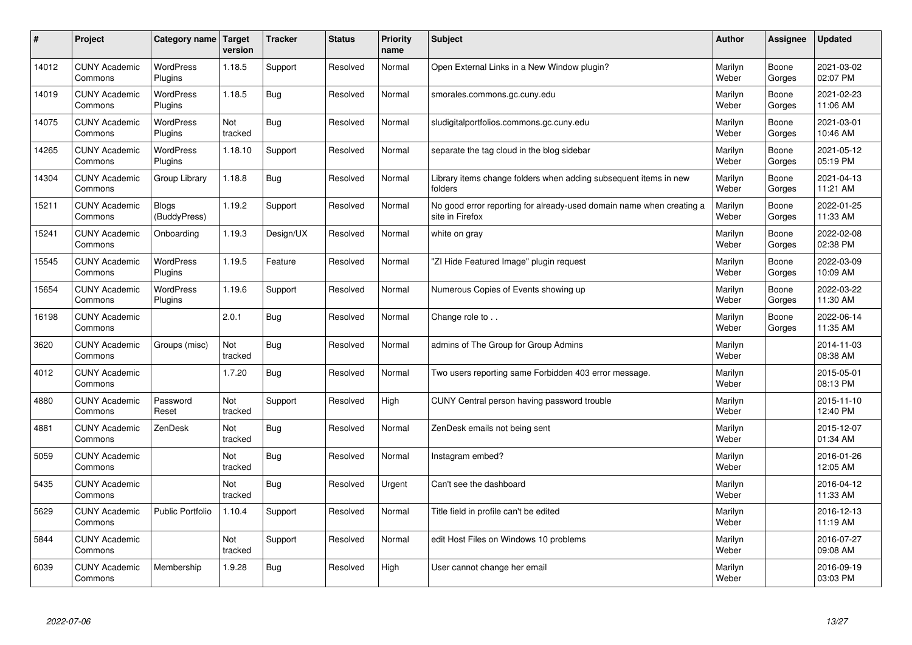| #     | Project                         | Category name   Target       | version        | <b>Tracker</b> | <b>Status</b> | Priority<br>name | <b>Subject</b>                                                                          | <b>Author</b>    | <b>Assignee</b> | <b>Updated</b>         |
|-------|---------------------------------|------------------------------|----------------|----------------|---------------|------------------|-----------------------------------------------------------------------------------------|------------------|-----------------|------------------------|
| 14012 | <b>CUNY Academic</b><br>Commons | <b>WordPress</b><br>Plugins  | 1.18.5         | Support        | Resolved      | Normal           | Open External Links in a New Window plugin?                                             | Marilyn<br>Weber | Boone<br>Gorges | 2021-03-02<br>02:07 PM |
| 14019 | <b>CUNY Academic</b><br>Commons | <b>WordPress</b><br>Plugins  | 1.18.5         | <b>Bug</b>     | Resolved      | Normal           | smorales.commons.gc.cuny.edu                                                            | Marilyn<br>Weber | Boone<br>Gorges | 2021-02-23<br>11:06 AM |
| 14075 | <b>CUNY Academic</b><br>Commons | <b>WordPress</b><br>Plugins  | Not<br>tracked | <b>Bug</b>     | Resolved      | Normal           | sludigitalportfolios.commons.gc.cuny.edu                                                | Marilyn<br>Weber | Boone<br>Gorges | 2021-03-01<br>10:46 AM |
| 14265 | <b>CUNY Academic</b><br>Commons | <b>WordPress</b><br>Plugins  | 1.18.10        | Support        | Resolved      | Normal           | separate the tag cloud in the blog sidebar                                              | Marilyn<br>Weber | Boone<br>Gorges | 2021-05-12<br>05:19 PM |
| 14304 | <b>CUNY Academic</b><br>Commons | Group Library                | 1.18.8         | <b>Bug</b>     | Resolved      | Normal           | Library items change folders when adding subsequent items in new<br>folders             | Marilyn<br>Weber | Boone<br>Gorges | 2021-04-13<br>11:21 AM |
| 15211 | <b>CUNY Academic</b><br>Commons | <b>Blogs</b><br>(BuddyPress) | 1.19.2         | Support        | Resolved      | Normal           | No good error reporting for already-used domain name when creating a<br>site in Firefox | Marilyn<br>Weber | Boone<br>Gorges | 2022-01-25<br>11:33 AM |
| 15241 | <b>CUNY Academic</b><br>Commons | Onboarding                   | 1.19.3         | Design/UX      | Resolved      | Normal           | white on gray                                                                           | Marilyn<br>Weber | Boone<br>Gorges | 2022-02-08<br>02:38 PM |
| 15545 | <b>CUNY Academic</b><br>Commons | WordPress<br>Plugins         | 1.19.5         | Feature        | Resolved      | Normal           | 'ZI Hide Featured Image" plugin request                                                 | Marilyn<br>Weber | Boone<br>Gorges | 2022-03-09<br>10:09 AM |
| 15654 | <b>CUNY Academic</b><br>Commons | <b>WordPress</b><br>Plugins  | 1.19.6         | Support        | Resolved      | Normal           | Numerous Copies of Events showing up                                                    | Marilyn<br>Weber | Boone<br>Gorges | 2022-03-22<br>11:30 AM |
| 16198 | <b>CUNY Academic</b><br>Commons |                              | 2.0.1          | Bug            | Resolved      | Normal           | Change role to                                                                          | Marilyn<br>Weber | Boone<br>Gorges | 2022-06-14<br>11:35 AM |
| 3620  | <b>CUNY Academic</b><br>Commons | Groups (misc)                | Not<br>tracked | Bug            | Resolved      | Normal           | admins of The Group for Group Admins                                                    | Marilyn<br>Weber |                 | 2014-11-03<br>08:38 AM |
| 4012  | <b>CUNY Academic</b><br>Commons |                              | 1.7.20         | <b>Bug</b>     | Resolved      | Normal           | Two users reporting same Forbidden 403 error message.                                   | Marilyn<br>Weber |                 | 2015-05-01<br>08:13 PM |
| 4880  | <b>CUNY Academic</b><br>Commons | Password<br>Reset            | Not<br>tracked | Support        | Resolved      | High             | CUNY Central person having password trouble                                             | Marilyn<br>Weber |                 | 2015-11-10<br>12:40 PM |
| 4881  | <b>CUNY Academic</b><br>Commons | ZenDesk                      | Not<br>tracked | <b>Bug</b>     | Resolved      | Normal           | ZenDesk emails not being sent                                                           | Marilyn<br>Weber |                 | 2015-12-07<br>01:34 AM |
| 5059  | <b>CUNY Academic</b><br>Commons |                              | Not<br>tracked | Bug            | Resolved      | Normal           | Instagram embed?                                                                        | Marilyn<br>Weber |                 | 2016-01-26<br>12:05 AM |
| 5435  | <b>CUNY Academic</b><br>Commons |                              | Not<br>tracked | <b>Bug</b>     | Resolved      | Urgent           | Can't see the dashboard                                                                 | Marilyn<br>Weber |                 | 2016-04-12<br>11:33 AM |
| 5629  | <b>CUNY Academic</b><br>Commons | <b>Public Portfolio</b>      | 1.10.4         | Support        | Resolved      | Normal           | Title field in profile can't be edited                                                  | Marilyn<br>Weber |                 | 2016-12-13<br>11:19 AM |
| 5844  | <b>CUNY Academic</b><br>Commons |                              | Not<br>tracked | Support        | Resolved      | Normal           | edit Host Files on Windows 10 problems                                                  | Marilyn<br>Weber |                 | 2016-07-27<br>09:08 AM |
| 6039  | <b>CUNY Academic</b><br>Commons | Membership                   | 1.9.28         | Bug            | Resolved      | High             | User cannot change her email                                                            | Marilyn<br>Weber |                 | 2016-09-19<br>03:03 PM |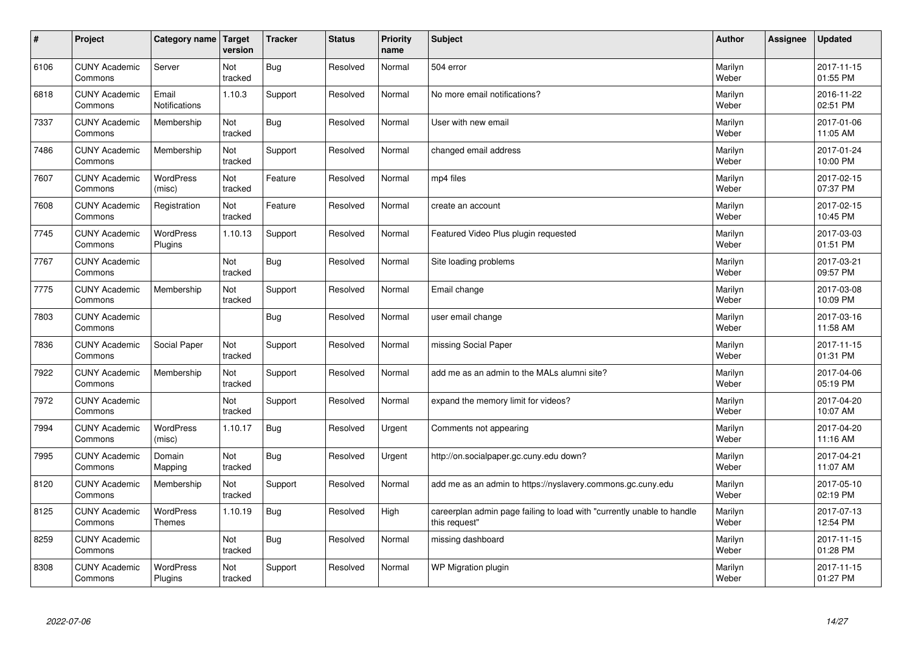| $\vert$ # | Project                         | Category name   Target        | version        | <b>Tracker</b> | <b>Status</b> | <b>Priority</b><br>name | <b>Subject</b>                                                                          | <b>Author</b>    | Assignee | <b>Updated</b>         |
|-----------|---------------------------------|-------------------------------|----------------|----------------|---------------|-------------------------|-----------------------------------------------------------------------------------------|------------------|----------|------------------------|
| 6106      | <b>CUNY Academic</b><br>Commons | Server                        | Not<br>tracked | <b>Bug</b>     | Resolved      | Normal                  | 504 error                                                                               | Marilyn<br>Weber |          | 2017-11-15<br>01:55 PM |
| 6818      | <b>CUNY Academic</b><br>Commons | Email<br><b>Notifications</b> | 1.10.3         | Support        | Resolved      | Normal                  | No more email notifications?                                                            | Marilyn<br>Weber |          | 2016-11-22<br>02:51 PM |
| 7337      | <b>CUNY Academic</b><br>Commons | Membership                    | Not<br>tracked | <b>Bug</b>     | Resolved      | Normal                  | User with new email                                                                     | Marilyn<br>Weber |          | 2017-01-06<br>11:05 AM |
| 7486      | <b>CUNY Academic</b><br>Commons | Membership                    | Not<br>tracked | Support        | Resolved      | Normal                  | changed email address                                                                   | Marilyn<br>Weber |          | 2017-01-24<br>10:00 PM |
| 7607      | <b>CUNY Academic</b><br>Commons | <b>WordPress</b><br>(misc)    | Not<br>tracked | Feature        | Resolved      | Normal                  | mp4 files                                                                               | Marilyn<br>Weber |          | 2017-02-15<br>07:37 PM |
| 7608      | <b>CUNY Academic</b><br>Commons | Registration                  | Not<br>tracked | Feature        | Resolved      | Normal                  | create an account                                                                       | Marilyn<br>Weber |          | 2017-02-15<br>10:45 PM |
| 7745      | <b>CUNY Academic</b><br>Commons | WordPress<br>Plugins          | 1.10.13        | Support        | Resolved      | Normal                  | Featured Video Plus plugin requested                                                    | Marilyn<br>Weber |          | 2017-03-03<br>01:51 PM |
| 7767      | <b>CUNY Academic</b><br>Commons |                               | Not<br>tracked | Bug            | Resolved      | Normal                  | Site loading problems                                                                   | Marilyn<br>Weber |          | 2017-03-21<br>09:57 PM |
| 7775      | <b>CUNY Academic</b><br>Commons | Membership                    | Not<br>tracked | Support        | Resolved      | Normal                  | Email change                                                                            | Marilyn<br>Weber |          | 2017-03-08<br>10:09 PM |
| 7803      | <b>CUNY Academic</b><br>Commons |                               |                | <b>Bug</b>     | Resolved      | Normal                  | user email change                                                                       | Marilyn<br>Weber |          | 2017-03-16<br>11:58 AM |
| 7836      | <b>CUNY Academic</b><br>Commons | Social Paper                  | Not<br>tracked | Support        | Resolved      | Normal                  | missing Social Paper                                                                    | Marilyn<br>Weber |          | 2017-11-15<br>01:31 PM |
| 7922      | <b>CUNY Academic</b><br>Commons | Membership                    | Not<br>tracked | Support        | Resolved      | Normal                  | add me as an admin to the MALs alumni site?                                             | Marilyn<br>Weber |          | 2017-04-06<br>05:19 PM |
| 7972      | <b>CUNY Academic</b><br>Commons |                               | Not<br>tracked | Support        | Resolved      | Normal                  | expand the memory limit for videos?                                                     | Marilyn<br>Weber |          | 2017-04-20<br>10:07 AM |
| 7994      | <b>CUNY Academic</b><br>Commons | WordPress<br>(misc)           | 1.10.17        | <b>Bug</b>     | Resolved      | Urgent                  | Comments not appearing                                                                  | Marilyn<br>Weber |          | 2017-04-20<br>11:16 AM |
| 7995      | <b>CUNY Academic</b><br>Commons | Domain<br>Mapping             | Not<br>tracked | Bug            | Resolved      | Urgent                  | http://on.socialpaper.gc.cuny.edu down?                                                 | Marilyn<br>Weber |          | 2017-04-21<br>11:07 AM |
| 8120      | <b>CUNY Academic</b><br>Commons | Membership                    | Not<br>tracked | Support        | Resolved      | Normal                  | add me as an admin to https://nyslavery.commons.gc.cuny.edu                             | Marilyn<br>Weber |          | 2017-05-10<br>02:19 PM |
| 8125      | <b>CUNY Academic</b><br>Commons | WordPress<br>Themes           | 1.10.19        | <b>Bug</b>     | Resolved      | High                    | careerplan admin page failing to load with "currently unable to handle<br>this request" | Marilyn<br>Weber |          | 2017-07-13<br>12:54 PM |
| 8259      | <b>CUNY Academic</b><br>Commons |                               | Not<br>tracked | Bug            | Resolved      | Normal                  | missing dashboard                                                                       | Marilyn<br>Weber |          | 2017-11-15<br>01:28 PM |
| 8308      | <b>CUNY Academic</b><br>Commons | <b>WordPress</b><br>Plugins   | Not<br>tracked | Support        | Resolved      | Normal                  | WP Migration plugin                                                                     | Marilyn<br>Weber |          | 2017-11-15<br>01:27 PM |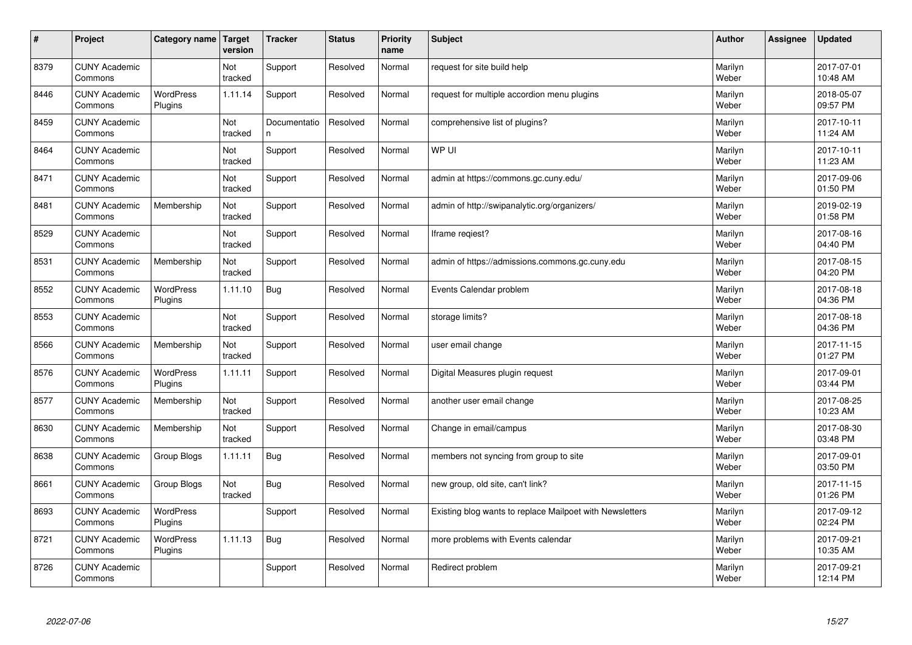| $\vert$ # | Project                         | Category name               | Target<br>version | <b>Tracker</b>    | <b>Status</b> | <b>Priority</b><br>name | <b>Subject</b>                                           | <b>Author</b>    | Assignee | <b>Updated</b>         |
|-----------|---------------------------------|-----------------------------|-------------------|-------------------|---------------|-------------------------|----------------------------------------------------------|------------------|----------|------------------------|
| 8379      | <b>CUNY Academic</b><br>Commons |                             | Not<br>tracked    | Support           | Resolved      | Normal                  | request for site build help                              | Marilyn<br>Weber |          | 2017-07-01<br>10:48 AM |
| 8446      | <b>CUNY Academic</b><br>Commons | <b>WordPress</b><br>Plugins | 1.11.14           | Support           | Resolved      | Normal                  | request for multiple accordion menu plugins              | Marilyn<br>Weber |          | 2018-05-07<br>09:57 PM |
| 8459      | <b>CUNY Academic</b><br>Commons |                             | Not<br>tracked    | Documentatio<br>n | Resolved      | Normal                  | comprehensive list of plugins?                           | Marilyn<br>Weber |          | 2017-10-11<br>11:24 AM |
| 8464      | <b>CUNY Academic</b><br>Commons |                             | Not<br>tracked    | Support           | Resolved      | Normal                  | WP UI                                                    | Marilyn<br>Weber |          | 2017-10-11<br>11:23 AM |
| 8471      | <b>CUNY Academic</b><br>Commons |                             | Not<br>tracked    | Support           | Resolved      | Normal                  | admin at https://commons.gc.cuny.edu/                    | Marilyn<br>Weber |          | 2017-09-06<br>01:50 PM |
| 8481      | <b>CUNY Academic</b><br>Commons | Membership                  | Not<br>tracked    | Support           | Resolved      | Normal                  | admin of http://swipanalytic.org/organizers/             | Marilyn<br>Weber |          | 2019-02-19<br>01:58 PM |
| 8529      | <b>CUNY Academic</b><br>Commons |                             | Not<br>tracked    | Support           | Resolved      | Normal                  | Iframe regiest?                                          | Marilyn<br>Weber |          | 2017-08-16<br>04:40 PM |
| 8531      | <b>CUNY Academic</b><br>Commons | Membership                  | Not<br>tracked    | Support           | Resolved      | Normal                  | admin of https://admissions.commons.gc.cuny.edu          | Marilyn<br>Weber |          | 2017-08-15<br>04:20 PM |
| 8552      | <b>CUNY Academic</b><br>Commons | <b>WordPress</b><br>Plugins | 1.11.10           | Bug               | Resolved      | Normal                  | Events Calendar problem                                  | Marilyn<br>Weber |          | 2017-08-18<br>04:36 PM |
| 8553      | <b>CUNY Academic</b><br>Commons |                             | Not<br>tracked    | Support           | Resolved      | Normal                  | storage limits?                                          | Marilyn<br>Weber |          | 2017-08-18<br>04:36 PM |
| 8566      | <b>CUNY Academic</b><br>Commons | Membership                  | Not<br>tracked    | Support           | Resolved      | Normal                  | user email change                                        | Marilyn<br>Weber |          | 2017-11-15<br>01:27 PM |
| 8576      | <b>CUNY Academic</b><br>Commons | <b>WordPress</b><br>Plugins | 1.11.11           | Support           | Resolved      | Normal                  | Digital Measures plugin request                          | Marilyn<br>Weber |          | 2017-09-01<br>03:44 PM |
| 8577      | <b>CUNY Academic</b><br>Commons | Membership                  | Not<br>tracked    | Support           | Resolved      | Normal                  | another user email change                                | Marilyn<br>Weber |          | 2017-08-25<br>10:23 AM |
| 8630      | <b>CUNY Academic</b><br>Commons | Membership                  | Not<br>tracked    | Support           | Resolved      | Normal                  | Change in email/campus                                   | Marilyn<br>Weber |          | 2017-08-30<br>03:48 PM |
| 8638      | <b>CUNY Academic</b><br>Commons | Group Blogs                 | 1.11.11           | <b>Bug</b>        | Resolved      | Normal                  | members not syncing from group to site                   | Marilyn<br>Weber |          | 2017-09-01<br>03:50 PM |
| 8661      | <b>CUNY Academic</b><br>Commons | Group Blogs                 | Not<br>tracked    | <b>Bug</b>        | Resolved      | Normal                  | new group, old site, can't link?                         | Marilyn<br>Weber |          | 2017-11-15<br>01:26 PM |
| 8693      | <b>CUNY Academic</b><br>Commons | WordPress<br>Plugins        |                   | Support           | Resolved      | Normal                  | Existing blog wants to replace Mailpoet with Newsletters | Marilyn<br>Weber |          | 2017-09-12<br>02:24 PM |
| 8721      | <b>CUNY Academic</b><br>Commons | WordPress<br>Plugins        | 1.11.13           | <b>Bug</b>        | Resolved      | Normal                  | more problems with Events calendar                       | Marilyn<br>Weber |          | 2017-09-21<br>10:35 AM |
| 8726      | <b>CUNY Academic</b><br>Commons |                             |                   | Support           | Resolved      | Normal                  | Redirect problem                                         | Marilyn<br>Weber |          | 2017-09-21<br>12:14 PM |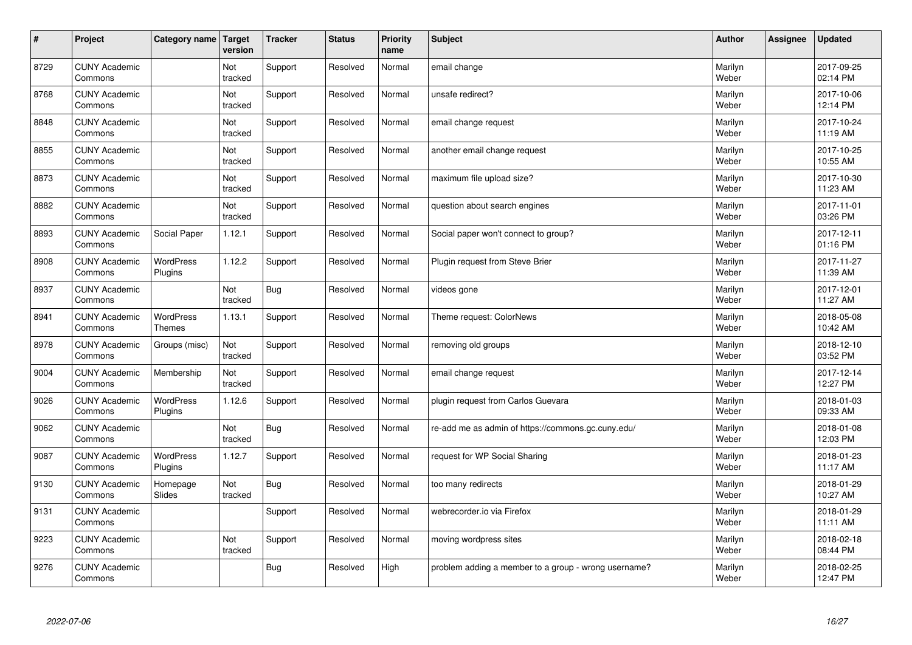| $\sharp$ | Project                         | Category name                     | Target<br>version | <b>Tracker</b> | <b>Status</b> | <b>Priority</b><br>name | <b>Subject</b>                                       | <b>Author</b>    | Assignee | <b>Updated</b>         |
|----------|---------------------------------|-----------------------------------|-------------------|----------------|---------------|-------------------------|------------------------------------------------------|------------------|----------|------------------------|
| 8729     | <b>CUNY Academic</b><br>Commons |                                   | Not<br>tracked    | Support        | Resolved      | Normal                  | email change                                         | Marilyn<br>Weber |          | 2017-09-25<br>02:14 PM |
| 8768     | <b>CUNY Academic</b><br>Commons |                                   | Not<br>tracked    | Support        | Resolved      | Normal                  | unsafe redirect?                                     | Marilyn<br>Weber |          | 2017-10-06<br>12:14 PM |
| 8848     | <b>CUNY Academic</b><br>Commons |                                   | Not<br>tracked    | Support        | Resolved      | Normal                  | email change request                                 | Marilyn<br>Weber |          | 2017-10-24<br>11:19 AM |
| 8855     | <b>CUNY Academic</b><br>Commons |                                   | Not<br>tracked    | Support        | Resolved      | Normal                  | another email change request                         | Marilyn<br>Weber |          | 2017-10-25<br>10:55 AM |
| 8873     | <b>CUNY Academic</b><br>Commons |                                   | Not<br>tracked    | Support        | Resolved      | Normal                  | maximum file upload size?                            | Marilyn<br>Weber |          | 2017-10-30<br>11:23 AM |
| 8882     | <b>CUNY Academic</b><br>Commons |                                   | Not<br>tracked    | Support        | Resolved      | Normal                  | question about search engines                        | Marilyn<br>Weber |          | 2017-11-01<br>03:26 PM |
| 8893     | <b>CUNY Academic</b><br>Commons | Social Paper                      | 1.12.1            | Support        | Resolved      | Normal                  | Social paper won't connect to group?                 | Marilyn<br>Weber |          | 2017-12-11<br>01:16 PM |
| 8908     | <b>CUNY Academic</b><br>Commons | <b>WordPress</b><br>Plugins       | 1.12.2            | Support        | Resolved      | Normal                  | Plugin request from Steve Brier                      | Marilyn<br>Weber |          | 2017-11-27<br>11:39 AM |
| 8937     | <b>CUNY Academic</b><br>Commons |                                   | Not<br>tracked    | <b>Bug</b>     | Resolved      | Normal                  | videos gone                                          | Marilyn<br>Weber |          | 2017-12-01<br>11:27 AM |
| 8941     | <b>CUNY Academic</b><br>Commons | <b>WordPress</b><br><b>Themes</b> | 1.13.1            | Support        | Resolved      | Normal                  | Theme request: ColorNews                             | Marilyn<br>Weber |          | 2018-05-08<br>10:42 AM |
| 8978     | <b>CUNY Academic</b><br>Commons | Groups (misc)                     | Not<br>tracked    | Support        | Resolved      | Normal                  | removing old groups                                  | Marilyn<br>Weber |          | 2018-12-10<br>03:52 PM |
| 9004     | <b>CUNY Academic</b><br>Commons | Membership                        | Not<br>tracked    | Support        | Resolved      | Normal                  | email change request                                 | Marilyn<br>Weber |          | 2017-12-14<br>12:27 PM |
| 9026     | <b>CUNY Academic</b><br>Commons | <b>WordPress</b><br>Plugins       | 1.12.6            | Support        | Resolved      | Normal                  | plugin request from Carlos Guevara                   | Marilyn<br>Weber |          | 2018-01-03<br>09:33 AM |
| 9062     | <b>CUNY Academic</b><br>Commons |                                   | Not<br>tracked    | <b>Bug</b>     | Resolved      | Normal                  | re-add me as admin of https://commons.gc.cuny.edu/   | Marilyn<br>Weber |          | 2018-01-08<br>12:03 PM |
| 9087     | <b>CUNY Academic</b><br>Commons | <b>WordPress</b><br>Plugins       | 1.12.7            | Support        | Resolved      | Normal                  | request for WP Social Sharing                        | Marilyn<br>Weber |          | 2018-01-23<br>11:17 AM |
| 9130     | <b>CUNY Academic</b><br>Commons | Homepage<br><b>Slides</b>         | Not<br>tracked    | <b>Bug</b>     | Resolved      | Normal                  | too many redirects                                   | Marilyn<br>Weber |          | 2018-01-29<br>10:27 AM |
| 9131     | <b>CUNY Academic</b><br>Commons |                                   |                   | Support        | Resolved      | Normal                  | webrecorder.io via Firefox                           | Marilyn<br>Weber |          | 2018-01-29<br>11:11 AM |
| 9223     | <b>CUNY Academic</b><br>Commons |                                   | Not<br>tracked    | Support        | Resolved      | Normal                  | moving wordpress sites                               | Marilyn<br>Weber |          | 2018-02-18<br>08:44 PM |
| 9276     | <b>CUNY Academic</b><br>Commons |                                   |                   | Bug            | Resolved      | High                    | problem adding a member to a group - wrong username? | Marilyn<br>Weber |          | 2018-02-25<br>12:47 PM |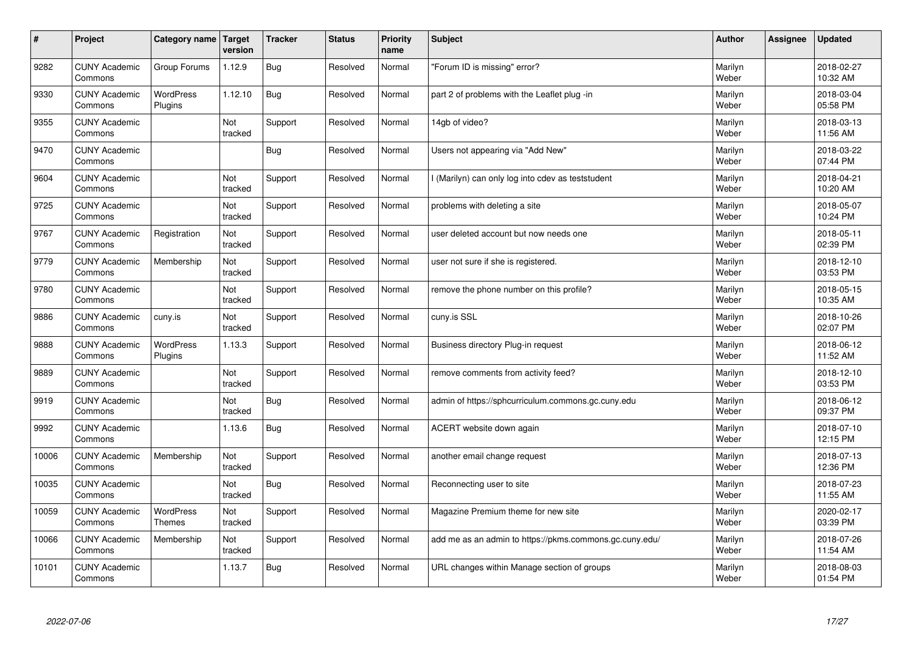| $\sharp$ | Project                         | Category name               | Target<br>version | <b>Tracker</b> | <b>Status</b> | <b>Priority</b><br>name | <b>Subject</b>                                          | <b>Author</b>    | Assignee | <b>Updated</b>         |
|----------|---------------------------------|-----------------------------|-------------------|----------------|---------------|-------------------------|---------------------------------------------------------|------------------|----------|------------------------|
| 9282     | <b>CUNY Academic</b><br>Commons | Group Forums                | 1.12.9            | Bug            | Resolved      | Normal                  | "Forum ID is missing" error?                            | Marilyn<br>Weber |          | 2018-02-27<br>10:32 AM |
| 9330     | <b>CUNY Academic</b><br>Commons | <b>WordPress</b><br>Plugins | 1.12.10           | Bug            | Resolved      | Normal                  | part 2 of problems with the Leaflet plug -in            | Marilyn<br>Weber |          | 2018-03-04<br>05:58 PM |
| 9355     | <b>CUNY Academic</b><br>Commons |                             | Not<br>tracked    | Support        | Resolved      | Normal                  | 14gb of video?                                          | Marilyn<br>Weber |          | 2018-03-13<br>11:56 AM |
| 9470     | <b>CUNY Academic</b><br>Commons |                             |                   | <b>Bug</b>     | Resolved      | Normal                  | Users not appearing via "Add New"                       | Marilyn<br>Weber |          | 2018-03-22<br>07:44 PM |
| 9604     | <b>CUNY Academic</b><br>Commons |                             | Not<br>tracked    | Support        | Resolved      | Normal                  | I (Marilyn) can only log into cdev as teststudent       | Marilyn<br>Weber |          | 2018-04-21<br>10:20 AM |
| 9725     | <b>CUNY Academic</b><br>Commons |                             | Not<br>tracked    | Support        | Resolved      | Normal                  | problems with deleting a site                           | Marilyn<br>Weber |          | 2018-05-07<br>10:24 PM |
| 9767     | <b>CUNY Academic</b><br>Commons | Registration                | Not<br>tracked    | Support        | Resolved      | Normal                  | user deleted account but now needs one                  | Marilyn<br>Weber |          | 2018-05-11<br>02:39 PM |
| 9779     | <b>CUNY Academic</b><br>Commons | Membership                  | Not<br>tracked    | Support        | Resolved      | Normal                  | user not sure if she is registered.                     | Marilyn<br>Weber |          | 2018-12-10<br>03:53 PM |
| 9780     | <b>CUNY Academic</b><br>Commons |                             | Not<br>tracked    | Support        | Resolved      | Normal                  | remove the phone number on this profile?                | Marilyn<br>Weber |          | 2018-05-15<br>10:35 AM |
| 9886     | <b>CUNY Academic</b><br>Commons | cuny.is                     | Not<br>tracked    | Support        | Resolved      | Normal                  | cuny.is SSL                                             | Marilyn<br>Weber |          | 2018-10-26<br>02:07 PM |
| 9888     | <b>CUNY Academic</b><br>Commons | <b>WordPress</b><br>Plugins | 1.13.3            | Support        | Resolved      | Normal                  | Business directory Plug-in request                      | Marilyn<br>Weber |          | 2018-06-12<br>11:52 AM |
| 9889     | <b>CUNY Academic</b><br>Commons |                             | Not<br>tracked    | Support        | Resolved      | Normal                  | remove comments from activity feed?                     | Marilyn<br>Weber |          | 2018-12-10<br>03:53 PM |
| 9919     | <b>CUNY Academic</b><br>Commons |                             | Not<br>tracked    | <b>Bug</b>     | Resolved      | Normal                  | admin of https://sphcurriculum.commons.gc.cuny.edu      | Marilyn<br>Weber |          | 2018-06-12<br>09:37 PM |
| 9992     | <b>CUNY Academic</b><br>Commons |                             | 1.13.6            | <b>Bug</b>     | Resolved      | Normal                  | ACERT website down again                                | Marilyn<br>Weber |          | 2018-07-10<br>12:15 PM |
| 10006    | <b>CUNY Academic</b><br>Commons | Membership                  | Not<br>tracked    | Support        | Resolved      | Normal                  | another email change request                            | Marilyn<br>Weber |          | 2018-07-13<br>12:36 PM |
| 10035    | <b>CUNY Academic</b><br>Commons |                             | Not<br>tracked    | <b>Bug</b>     | Resolved      | Normal                  | Reconnecting user to site                               | Marilyn<br>Weber |          | 2018-07-23<br>11:55 AM |
| 10059    | <b>CUNY Academic</b><br>Commons | <b>WordPress</b><br>Themes  | Not<br>tracked    | Support        | Resolved      | Normal                  | Magazine Premium theme for new site                     | Marilyn<br>Weber |          | 2020-02-17<br>03:39 PM |
| 10066    | <b>CUNY Academic</b><br>Commons | Membership                  | Not<br>tracked    | Support        | Resolved      | Normal                  | add me as an admin to https://pkms.commons.gc.cuny.edu/ | Marilyn<br>Weber |          | 2018-07-26<br>11:54 AM |
| 10101    | <b>CUNY Academic</b><br>Commons |                             | 1.13.7            | Bug            | Resolved      | Normal                  | URL changes within Manage section of groups             | Marilyn<br>Weber |          | 2018-08-03<br>01:54 PM |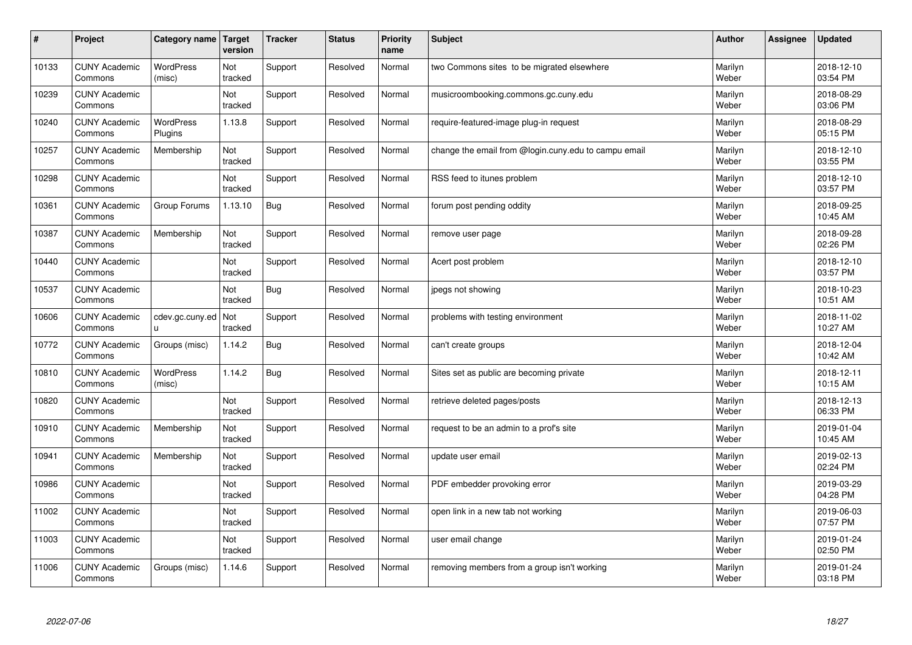| #     | Project                         | Category name               | Target<br>version | <b>Tracker</b> | <b>Status</b> | <b>Priority</b><br>name | <b>Subject</b>                                       | <b>Author</b>    | Assignee | <b>Updated</b>         |
|-------|---------------------------------|-----------------------------|-------------------|----------------|---------------|-------------------------|------------------------------------------------------|------------------|----------|------------------------|
| 10133 | <b>CUNY Academic</b><br>Commons | <b>WordPress</b><br>(misc)  | Not<br>tracked    | Support        | Resolved      | Normal                  | two Commons sites to be migrated elsewhere           | Marilyn<br>Weber |          | 2018-12-10<br>03:54 PM |
| 10239 | <b>CUNY Academic</b><br>Commons |                             | Not<br>tracked    | Support        | Resolved      | Normal                  | musicroombooking.commons.gc.cuny.edu                 | Marilyn<br>Weber |          | 2018-08-29<br>03:06 PM |
| 10240 | <b>CUNY Academic</b><br>Commons | <b>WordPress</b><br>Plugins | 1.13.8            | Support        | Resolved      | Normal                  | require-featured-image plug-in request               | Marilyn<br>Weber |          | 2018-08-29<br>05:15 PM |
| 10257 | <b>CUNY Academic</b><br>Commons | Membership                  | Not<br>tracked    | Support        | Resolved      | Normal                  | change the email from @login.cuny.edu to campu email | Marilyn<br>Weber |          | 2018-12-10<br>03:55 PM |
| 10298 | <b>CUNY Academic</b><br>Commons |                             | Not<br>tracked    | Support        | Resolved      | Normal                  | RSS feed to itunes problem                           | Marilyn<br>Weber |          | 2018-12-10<br>03:57 PM |
| 10361 | <b>CUNY Academic</b><br>Commons | Group Forums                | 1.13.10           | <b>Bug</b>     | Resolved      | Normal                  | forum post pending oddity                            | Marilyn<br>Weber |          | 2018-09-25<br>10:45 AM |
| 10387 | <b>CUNY Academic</b><br>Commons | Membership                  | Not<br>tracked    | Support        | Resolved      | Normal                  | remove user page                                     | Marilyn<br>Weber |          | 2018-09-28<br>02:26 PM |
| 10440 | <b>CUNY Academic</b><br>Commons |                             | Not<br>tracked    | Support        | Resolved      | Normal                  | Acert post problem                                   | Marilyn<br>Weber |          | 2018-12-10<br>03:57 PM |
| 10537 | <b>CUNY Academic</b><br>Commons |                             | Not<br>tracked    | Bug            | Resolved      | Normal                  | jpegs not showing                                    | Marilyn<br>Weber |          | 2018-10-23<br>10:51 AM |
| 10606 | <b>CUNY Academic</b><br>Commons | cdev.gc.cuny.ed<br>u        | Not<br>tracked    | Support        | Resolved      | Normal                  | problems with testing environment                    | Marilyn<br>Weber |          | 2018-11-02<br>10:27 AM |
| 10772 | <b>CUNY Academic</b><br>Commons | Groups (misc)               | 1.14.2            | <b>Bug</b>     | Resolved      | Normal                  | can't create groups                                  | Marilyn<br>Weber |          | 2018-12-04<br>10:42 AM |
| 10810 | <b>CUNY Academic</b><br>Commons | <b>WordPress</b><br>(misc)  | 1.14.2            | <b>Bug</b>     | Resolved      | Normal                  | Sites set as public are becoming private             | Marilyn<br>Weber |          | 2018-12-11<br>10:15 AM |
| 10820 | <b>CUNY Academic</b><br>Commons |                             | Not<br>tracked    | Support        | Resolved      | Normal                  | retrieve deleted pages/posts                         | Marilyn<br>Weber |          | 2018-12-13<br>06:33 PM |
| 10910 | <b>CUNY Academic</b><br>Commons | Membership                  | Not<br>tracked    | Support        | Resolved      | Normal                  | request to be an admin to a prof's site              | Marilyn<br>Weber |          | 2019-01-04<br>10:45 AM |
| 10941 | <b>CUNY Academic</b><br>Commons | Membership                  | Not<br>tracked    | Support        | Resolved      | Normal                  | update user email                                    | Marilyn<br>Weber |          | 2019-02-13<br>02:24 PM |
| 10986 | <b>CUNY Academic</b><br>Commons |                             | Not<br>tracked    | Support        | Resolved      | Normal                  | PDF embedder provoking error                         | Marilyn<br>Weber |          | 2019-03-29<br>04:28 PM |
| 11002 | <b>CUNY Academic</b><br>Commons |                             | Not<br>tracked    | Support        | Resolved      | Normal                  | open link in a new tab not working                   | Marilyn<br>Weber |          | 2019-06-03<br>07:57 PM |
| 11003 | <b>CUNY Academic</b><br>Commons |                             | Not<br>tracked    | Support        | Resolved      | Normal                  | user email change                                    | Marilyn<br>Weber |          | 2019-01-24<br>02:50 PM |
| 11006 | <b>CUNY Academic</b><br>Commons | Groups (misc)               | 1.14.6            | Support        | Resolved      | Normal                  | removing members from a group isn't working          | Marilyn<br>Weber |          | 2019-01-24<br>03:18 PM |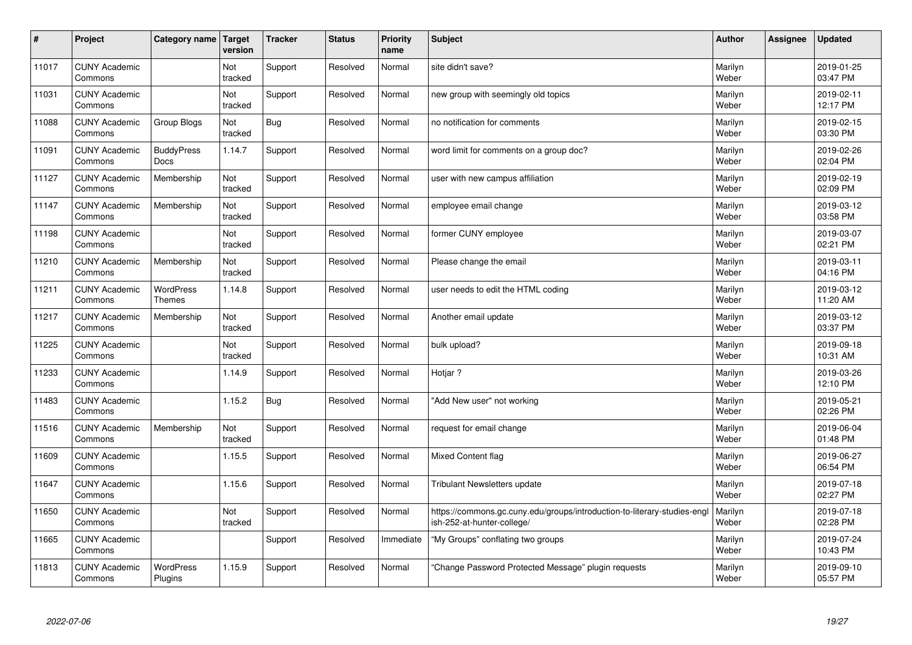| $\sharp$ | Project                         | Category name                     | Target<br>version | <b>Tracker</b> | <b>Status</b> | <b>Priority</b><br>name | <b>Subject</b>                                                                                         | <b>Author</b>    | Assignee | <b>Updated</b>         |
|----------|---------------------------------|-----------------------------------|-------------------|----------------|---------------|-------------------------|--------------------------------------------------------------------------------------------------------|------------------|----------|------------------------|
| 11017    | <b>CUNY Academic</b><br>Commons |                                   | Not<br>tracked    | Support        | Resolved      | Normal                  | site didn't save?                                                                                      | Marilyn<br>Weber |          | 2019-01-25<br>03:47 PM |
| 11031    | <b>CUNY Academic</b><br>Commons |                                   | Not<br>tracked    | Support        | Resolved      | Normal                  | new group with seemingly old topics                                                                    | Marilyn<br>Weber |          | 2019-02-11<br>12:17 PM |
| 11088    | <b>CUNY Academic</b><br>Commons | Group Blogs                       | Not<br>tracked    | <b>Bug</b>     | Resolved      | Normal                  | no notification for comments                                                                           | Marilyn<br>Weber |          | 2019-02-15<br>03:30 PM |
| 11091    | <b>CUNY Academic</b><br>Commons | <b>BuddyPress</b><br>Docs         | 1.14.7            | Support        | Resolved      | Normal                  | word limit for comments on a group doc?                                                                | Marilyn<br>Weber |          | 2019-02-26<br>02:04 PM |
| 11127    | <b>CUNY Academic</b><br>Commons | Membership                        | Not<br>tracked    | Support        | Resolved      | Normal                  | user with new campus affiliation                                                                       | Marilyn<br>Weber |          | 2019-02-19<br>02:09 PM |
| 11147    | <b>CUNY Academic</b><br>Commons | Membership                        | Not<br>tracked    | Support        | Resolved      | Normal                  | employee email change                                                                                  | Marilyn<br>Weber |          | 2019-03-12<br>03:58 PM |
| 11198    | <b>CUNY Academic</b><br>Commons |                                   | Not<br>tracked    | Support        | Resolved      | Normal                  | former CUNY employee                                                                                   | Marilyn<br>Weber |          | 2019-03-07<br>02:21 PM |
| 11210    | <b>CUNY Academic</b><br>Commons | Membership                        | Not<br>tracked    | Support        | Resolved      | Normal                  | Please change the email                                                                                | Marilyn<br>Weber |          | 2019-03-11<br>04:16 PM |
| 11211    | <b>CUNY Academic</b><br>Commons | <b>WordPress</b><br><b>Themes</b> | 1.14.8            | Support        | Resolved      | Normal                  | user needs to edit the HTML coding                                                                     | Marilyn<br>Weber |          | 2019-03-12<br>11:20 AM |
| 11217    | <b>CUNY Academic</b><br>Commons | Membership                        | Not<br>tracked    | Support        | Resolved      | Normal                  | Another email update                                                                                   | Marilyn<br>Weber |          | 2019-03-12<br>03:37 PM |
| 11225    | <b>CUNY Academic</b><br>Commons |                                   | Not<br>tracked    | Support        | Resolved      | Normal                  | bulk upload?                                                                                           | Marilyn<br>Weber |          | 2019-09-18<br>10:31 AM |
| 11233    | <b>CUNY Academic</b><br>Commons |                                   | 1.14.9            | Support        | Resolved      | Normal                  | Hotjar?                                                                                                | Marilyn<br>Weber |          | 2019-03-26<br>12:10 PM |
| 11483    | <b>CUNY Academic</b><br>Commons |                                   | 1.15.2            | Bug            | Resolved      | Normal                  | "Add New user" not working                                                                             | Marilyn<br>Weber |          | 2019-05-21<br>02:26 PM |
| 11516    | <b>CUNY Academic</b><br>Commons | Membership                        | Not<br>tracked    | Support        | Resolved      | Normal                  | request for email change                                                                               | Marilyn<br>Weber |          | 2019-06-04<br>01:48 PM |
| 11609    | <b>CUNY Academic</b><br>Commons |                                   | 1.15.5            | Support        | Resolved      | Normal                  | <b>Mixed Content flag</b>                                                                              | Marilyn<br>Weber |          | 2019-06-27<br>06:54 PM |
| 11647    | <b>CUNY Academic</b><br>Commons |                                   | 1.15.6            | Support        | Resolved      | Normal                  | <b>Tribulant Newsletters update</b>                                                                    | Marilyn<br>Weber |          | 2019-07-18<br>02:27 PM |
| 11650    | <b>CUNY Academic</b><br>Commons |                                   | Not<br>tracked    | Support        | Resolved      | Normal                  | https://commons.gc.cuny.edu/groups/introduction-to-literary-studies-engl<br>ish-252-at-hunter-college/ | Marilyn<br>Weber |          | 2019-07-18<br>02:28 PM |
| 11665    | <b>CUNY Academic</b><br>Commons |                                   |                   | Support        | Resolved      | Immediate               | "My Groups" conflating two groups                                                                      | Marilyn<br>Weber |          | 2019-07-24<br>10:43 PM |
| 11813    | <b>CUNY Academic</b><br>Commons | <b>WordPress</b><br>Plugins       | 1.15.9            | Support        | Resolved      | Normal                  | "Change Password Protected Message" plugin requests                                                    | Marilyn<br>Weber |          | 2019-09-10<br>05:57 PM |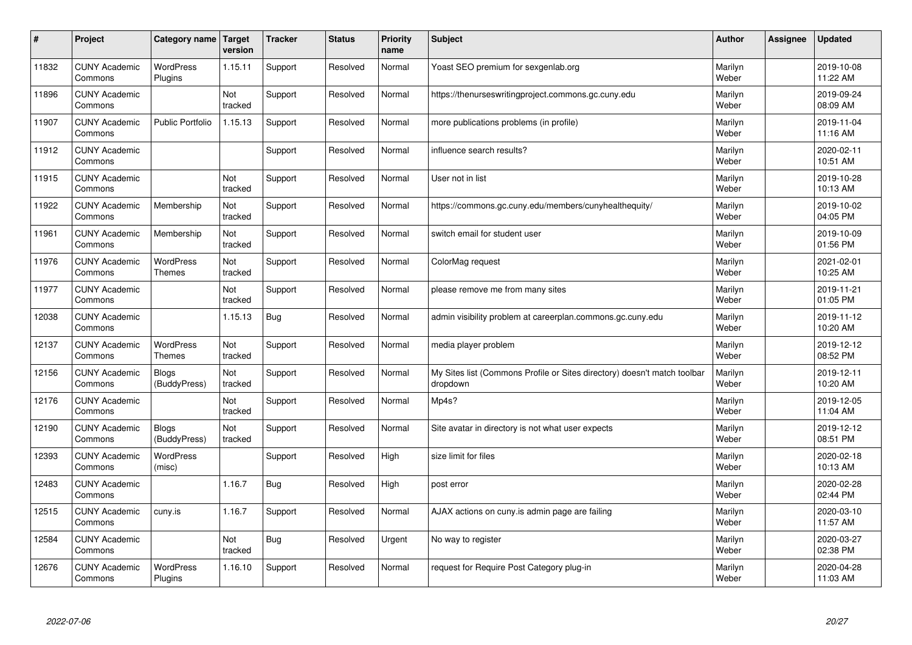| #     | Project                         | Category name                     | Target<br>version | <b>Tracker</b> | <b>Status</b> | <b>Priority</b><br>name | <b>Subject</b>                                                                       | <b>Author</b>    | Assignee | <b>Updated</b>         |
|-------|---------------------------------|-----------------------------------|-------------------|----------------|---------------|-------------------------|--------------------------------------------------------------------------------------|------------------|----------|------------------------|
| 11832 | <b>CUNY Academic</b><br>Commons | <b>WordPress</b><br>Plugins       | 1.15.11           | Support        | Resolved      | Normal                  | Yoast SEO premium for sexgenlab.org                                                  | Marilyn<br>Weber |          | 2019-10-08<br>11:22 AM |
| 11896 | <b>CUNY Academic</b><br>Commons |                                   | Not<br>tracked    | Support        | Resolved      | Normal                  | https://thenurseswritingproject.commons.gc.cuny.edu                                  | Marilyn<br>Weber |          | 2019-09-24<br>08:09 AM |
| 11907 | <b>CUNY Academic</b><br>Commons | <b>Public Portfolio</b>           | 1.15.13           | Support        | Resolved      | Normal                  | more publications problems (in profile)                                              | Marilyn<br>Weber |          | 2019-11-04<br>11:16 AM |
| 11912 | <b>CUNY Academic</b><br>Commons |                                   |                   | Support        | Resolved      | Normal                  | influence search results?                                                            | Marilyn<br>Weber |          | 2020-02-11<br>10:51 AM |
| 11915 | <b>CUNY Academic</b><br>Commons |                                   | Not<br>tracked    | Support        | Resolved      | Normal                  | User not in list                                                                     | Marilyn<br>Weber |          | 2019-10-28<br>10:13 AM |
| 11922 | <b>CUNY Academic</b><br>Commons | Membership                        | Not<br>tracked    | Support        | Resolved      | Normal                  | https://commons.gc.cuny.edu/members/cunyhealthequity/                                | Marilyn<br>Weber |          | 2019-10-02<br>04:05 PM |
| 11961 | <b>CUNY Academic</b><br>Commons | Membership                        | Not<br>tracked    | Support        | Resolved      | Normal                  | switch email for student user                                                        | Marilyn<br>Weber |          | 2019-10-09<br>01:56 PM |
| 11976 | <b>CUNY Academic</b><br>Commons | <b>WordPress</b><br><b>Themes</b> | Not<br>tracked    | Support        | Resolved      | Normal                  | ColorMag request                                                                     | Marilyn<br>Weber |          | 2021-02-01<br>10:25 AM |
| 11977 | <b>CUNY Academic</b><br>Commons |                                   | Not<br>tracked    | Support        | Resolved      | Normal                  | please remove me from many sites                                                     | Marilyn<br>Weber |          | 2019-11-21<br>01:05 PM |
| 12038 | <b>CUNY Academic</b><br>Commons |                                   | 1.15.13           | <b>Bug</b>     | Resolved      | Normal                  | admin visibility problem at careerplan.commons.gc.cuny.edu                           | Marilyn<br>Weber |          | 2019-11-12<br>10:20 AM |
| 12137 | <b>CUNY Academic</b><br>Commons | <b>WordPress</b><br>Themes        | Not<br>tracked    | Support        | Resolved      | Normal                  | media player problem                                                                 | Marilyn<br>Weber |          | 2019-12-12<br>08:52 PM |
| 12156 | <b>CUNY Academic</b><br>Commons | <b>Blogs</b><br>(BuddyPress)      | Not<br>tracked    | Support        | Resolved      | Normal                  | My Sites list (Commons Profile or Sites directory) doesn't match toolbar<br>dropdown | Marilyn<br>Weber |          | 2019-12-11<br>10:20 AM |
| 12176 | <b>CUNY Academic</b><br>Commons |                                   | Not<br>tracked    | Support        | Resolved      | Normal                  | Mp4s?                                                                                | Marilyn<br>Weber |          | 2019-12-05<br>11:04 AM |
| 12190 | <b>CUNY Academic</b><br>Commons | <b>Blogs</b><br>(BuddyPress)      | Not<br>tracked    | Support        | Resolved      | Normal                  | Site avatar in directory is not what user expects                                    | Marilyn<br>Weber |          | 2019-12-12<br>08:51 PM |
| 12393 | <b>CUNY Academic</b><br>Commons | <b>WordPress</b><br>(misc)        |                   | Support        | Resolved      | High                    | size limit for files                                                                 | Marilyn<br>Weber |          | 2020-02-18<br>10:13 AM |
| 12483 | <b>CUNY Academic</b><br>Commons |                                   | 1.16.7            | Bug            | Resolved      | High                    | post error                                                                           | Marilyn<br>Weber |          | 2020-02-28<br>02:44 PM |
| 12515 | <b>CUNY Academic</b><br>Commons | cuny.is                           | 1.16.7            | Support        | Resolved      | Normal                  | AJAX actions on cuny is admin page are failing                                       | Marilyn<br>Weber |          | 2020-03-10<br>11:57 AM |
| 12584 | <b>CUNY Academic</b><br>Commons |                                   | Not<br>tracked    | <b>Bug</b>     | Resolved      | Urgent                  | No way to register                                                                   | Marilyn<br>Weber |          | 2020-03-27<br>02:38 PM |
| 12676 | <b>CUNY Academic</b><br>Commons | <b>WordPress</b><br>Plugins       | 1.16.10           | Support        | Resolved      | Normal                  | request for Require Post Category plug-in                                            | Marilyn<br>Weber |          | 2020-04-28<br>11:03 AM |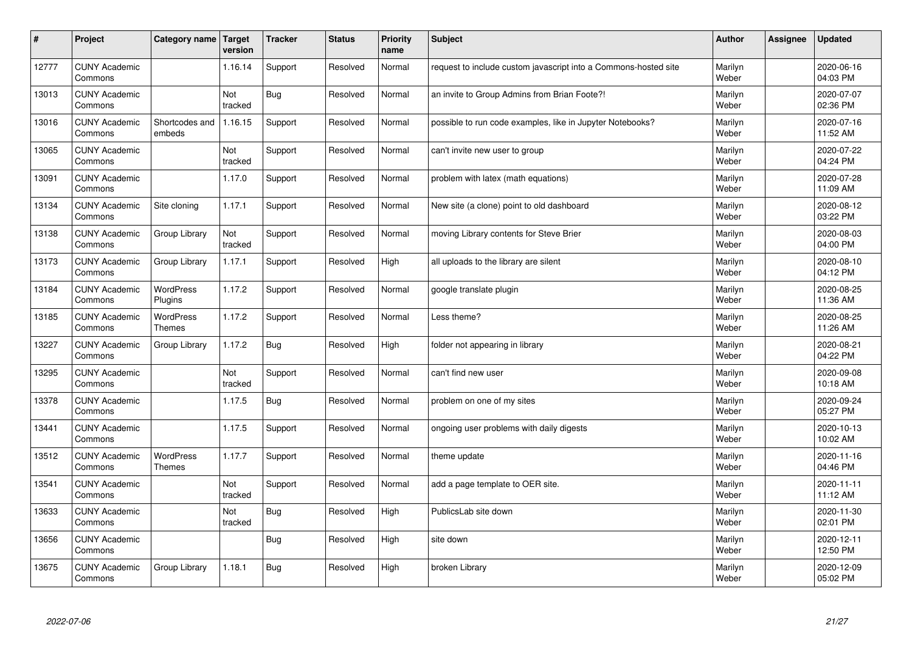| $\sharp$ | Project                         | Category name                     | Target<br>version | <b>Tracker</b> | <b>Status</b> | <b>Priority</b><br>name | <b>Subject</b>                                                  | <b>Author</b>    | Assignee | <b>Updated</b>         |
|----------|---------------------------------|-----------------------------------|-------------------|----------------|---------------|-------------------------|-----------------------------------------------------------------|------------------|----------|------------------------|
| 12777    | <b>CUNY Academic</b><br>Commons |                                   | 1.16.14           | Support        | Resolved      | Normal                  | request to include custom javascript into a Commons-hosted site | Marilyn<br>Weber |          | 2020-06-16<br>04:03 PM |
| 13013    | <b>CUNY Academic</b><br>Commons |                                   | Not<br>tracked    | <b>Bug</b>     | Resolved      | Normal                  | an invite to Group Admins from Brian Foote?!                    | Marilyn<br>Weber |          | 2020-07-07<br>02:36 PM |
| 13016    | <b>CUNY Academic</b><br>Commons | Shortcodes and<br>embeds          | 1.16.15           | Support        | Resolved      | Normal                  | possible to run code examples, like in Jupyter Notebooks?       | Marilyn<br>Weber |          | 2020-07-16<br>11:52 AM |
| 13065    | <b>CUNY Academic</b><br>Commons |                                   | Not<br>tracked    | Support        | Resolved      | Normal                  | can't invite new user to group                                  | Marilyn<br>Weber |          | 2020-07-22<br>04:24 PM |
| 13091    | <b>CUNY Academic</b><br>Commons |                                   | 1.17.0            | Support        | Resolved      | Normal                  | problem with latex (math equations)                             | Marilyn<br>Weber |          | 2020-07-28<br>11:09 AM |
| 13134    | <b>CUNY Academic</b><br>Commons | Site cloning                      | 1.17.1            | Support        | Resolved      | Normal                  | New site (a clone) point to old dashboard                       | Marilyn<br>Weber |          | 2020-08-12<br>03:22 PM |
| 13138    | <b>CUNY Academic</b><br>Commons | Group Library                     | Not<br>tracked    | Support        | Resolved      | Normal                  | moving Library contents for Steve Brier                         | Marilyn<br>Weber |          | 2020-08-03<br>04:00 PM |
| 13173    | <b>CUNY Academic</b><br>Commons | Group Library                     | 1.17.1            | Support        | Resolved      | High                    | all uploads to the library are silent                           | Marilyn<br>Weber |          | 2020-08-10<br>04:12 PM |
| 13184    | <b>CUNY Academic</b><br>Commons | <b>WordPress</b><br>Plugins       | 1.17.2            | Support        | Resolved      | Normal                  | google translate plugin                                         | Marilyn<br>Weber |          | 2020-08-25<br>11:36 AM |
| 13185    | <b>CUNY Academic</b><br>Commons | <b>WordPress</b><br><b>Themes</b> | 1.17.2            | Support        | Resolved      | Normal                  | Less theme?                                                     | Marilyn<br>Weber |          | 2020-08-25<br>11:26 AM |
| 13227    | <b>CUNY Academic</b><br>Commons | Group Library                     | 1.17.2            | <b>Bug</b>     | Resolved      | High                    | folder not appearing in library                                 | Marilyn<br>Weber |          | 2020-08-21<br>04:22 PM |
| 13295    | <b>CUNY Academic</b><br>Commons |                                   | Not<br>tracked    | Support        | Resolved      | Normal                  | can't find new user                                             | Marilyn<br>Weber |          | 2020-09-08<br>10:18 AM |
| 13378    | <b>CUNY Academic</b><br>Commons |                                   | 1.17.5            | <b>Bug</b>     | Resolved      | Normal                  | problem on one of my sites                                      | Marilyn<br>Weber |          | 2020-09-24<br>05:27 PM |
| 13441    | <b>CUNY Academic</b><br>Commons |                                   | 1.17.5            | Support        | Resolved      | Normal                  | ongoing user problems with daily digests                        | Marilyn<br>Weber |          | 2020-10-13<br>10:02 AM |
| 13512    | <b>CUNY Academic</b><br>Commons | <b>WordPress</b><br>Themes        | 1.17.7            | Support        | Resolved      | Normal                  | theme update                                                    | Marilyn<br>Weber |          | 2020-11-16<br>04:46 PM |
| 13541    | <b>CUNY Academic</b><br>Commons |                                   | Not<br>tracked    | Support        | Resolved      | Normal                  | add a page template to OER site.                                | Marilyn<br>Weber |          | 2020-11-11<br>11:12 AM |
| 13633    | <b>CUNY Academic</b><br>Commons |                                   | Not<br>tracked    | <b>Bug</b>     | Resolved      | High                    | PublicsLab site down                                            | Marilyn<br>Weber |          | 2020-11-30<br>02:01 PM |
| 13656    | <b>CUNY Academic</b><br>Commons |                                   |                   | <b>Bug</b>     | Resolved      | High                    | site down                                                       | Marilyn<br>Weber |          | 2020-12-11<br>12:50 PM |
| 13675    | <b>CUNY Academic</b><br>Commons | Group Library                     | 1.18.1            | Bug            | Resolved      | High                    | broken Library                                                  | Marilyn<br>Weber |          | 2020-12-09<br>05:02 PM |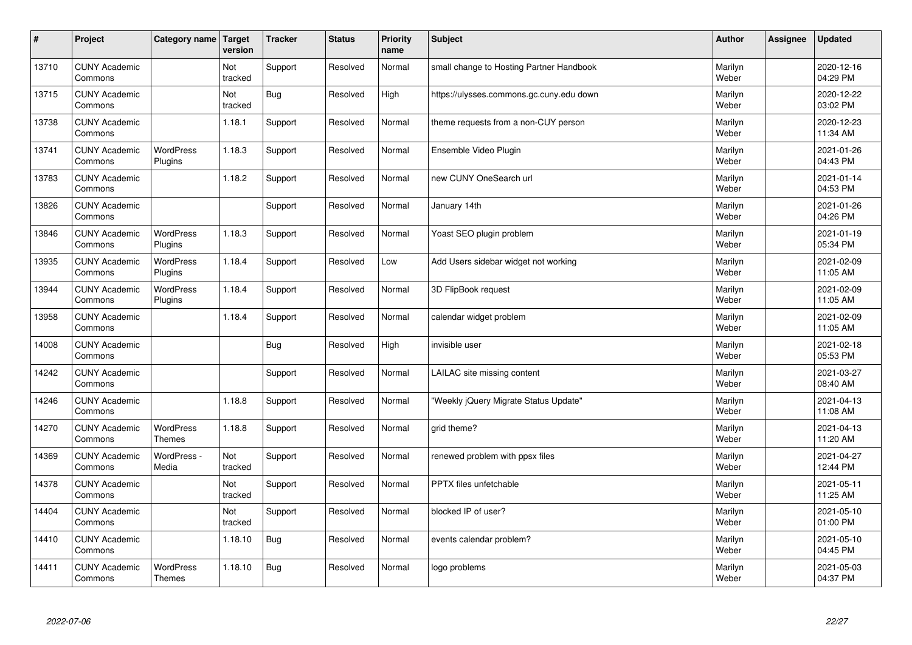| $\sharp$ | Project                         | Category name                     | Target<br>version | <b>Tracker</b> | <b>Status</b> | <b>Priority</b><br>name | <b>Subject</b>                           | <b>Author</b>    | Assignee | <b>Updated</b>         |
|----------|---------------------------------|-----------------------------------|-------------------|----------------|---------------|-------------------------|------------------------------------------|------------------|----------|------------------------|
| 13710    | <b>CUNY Academic</b><br>Commons |                                   | Not<br>tracked    | Support        | Resolved      | Normal                  | small change to Hosting Partner Handbook | Marilyn<br>Weber |          | 2020-12-16<br>04:29 PM |
| 13715    | <b>CUNY Academic</b><br>Commons |                                   | Not<br>tracked    | <b>Bug</b>     | Resolved      | High                    | https://ulysses.commons.gc.cuny.edu down | Marilyn<br>Weber |          | 2020-12-22<br>03:02 PM |
| 13738    | <b>CUNY Academic</b><br>Commons |                                   | 1.18.1            | Support        | Resolved      | Normal                  | theme requests from a non-CUY person     | Marilyn<br>Weber |          | 2020-12-23<br>11:34 AM |
| 13741    | <b>CUNY Academic</b><br>Commons | <b>WordPress</b><br>Plugins       | 1.18.3            | Support        | Resolved      | Normal                  | Ensemble Video Plugin                    | Marilyn<br>Weber |          | 2021-01-26<br>04:43 PM |
| 13783    | <b>CUNY Academic</b><br>Commons |                                   | 1.18.2            | Support        | Resolved      | Normal                  | new CUNY OneSearch url                   | Marilyn<br>Weber |          | 2021-01-14<br>04:53 PM |
| 13826    | <b>CUNY Academic</b><br>Commons |                                   |                   | Support        | Resolved      | Normal                  | January 14th                             | Marilyn<br>Weber |          | 2021-01-26<br>04:26 PM |
| 13846    | <b>CUNY Academic</b><br>Commons | <b>WordPress</b><br>Plugins       | 1.18.3            | Support        | Resolved      | Normal                  | Yoast SEO plugin problem                 | Marilyn<br>Weber |          | 2021-01-19<br>05:34 PM |
| 13935    | <b>CUNY Academic</b><br>Commons | <b>WordPress</b><br>Plugins       | 1.18.4            | Support        | Resolved      | Low                     | Add Users sidebar widget not working     | Marilyn<br>Weber |          | 2021-02-09<br>11:05 AM |
| 13944    | <b>CUNY Academic</b><br>Commons | WordPress<br>Plugins              | 1.18.4            | Support        | Resolved      | Normal                  | 3D FlipBook request                      | Marilyn<br>Weber |          | 2021-02-09<br>11:05 AM |
| 13958    | <b>CUNY Academic</b><br>Commons |                                   | 1.18.4            | Support        | Resolved      | Normal                  | calendar widget problem                  | Marilyn<br>Weber |          | 2021-02-09<br>11:05 AM |
| 14008    | <b>CUNY Academic</b><br>Commons |                                   |                   | <b>Bug</b>     | Resolved      | High                    | invisible user                           | Marilyn<br>Weber |          | 2021-02-18<br>05:53 PM |
| 14242    | <b>CUNY Academic</b><br>Commons |                                   |                   | Support        | Resolved      | Normal                  | LAILAC site missing content              | Marilyn<br>Weber |          | 2021-03-27<br>08:40 AM |
| 14246    | <b>CUNY Academic</b><br>Commons |                                   | 1.18.8            | Support        | Resolved      | Normal                  | 'Weekly jQuery Migrate Status Update"    | Marilyn<br>Weber |          | 2021-04-13<br>11:08 AM |
| 14270    | <b>CUNY Academic</b><br>Commons | <b>WordPress</b><br><b>Themes</b> | 1.18.8            | Support        | Resolved      | Normal                  | grid theme?                              | Marilyn<br>Weber |          | 2021-04-13<br>11:20 AM |
| 14369    | <b>CUNY Academic</b><br>Commons | WordPress -<br>Media              | Not<br>tracked    | Support        | Resolved      | Normal                  | renewed problem with ppsx files          | Marilyn<br>Weber |          | 2021-04-27<br>12:44 PM |
| 14378    | <b>CUNY Academic</b><br>Commons |                                   | Not<br>tracked    | Support        | Resolved      | Normal                  | PPTX files unfetchable                   | Marilyn<br>Weber |          | 2021-05-11<br>11:25 AM |
| 14404    | <b>CUNY Academic</b><br>Commons |                                   | Not<br>tracked    | Support        | Resolved      | Normal                  | blocked IP of user?                      | Marilyn<br>Weber |          | 2021-05-10<br>01:00 PM |
| 14410    | <b>CUNY Academic</b><br>Commons |                                   | 1.18.10           | <b>Bug</b>     | Resolved      | Normal                  | events calendar problem?                 | Marilyn<br>Weber |          | 2021-05-10<br>04:45 PM |
| 14411    | <b>CUNY Academic</b><br>Commons | <b>WordPress</b><br><b>Themes</b> | 1.18.10           | Bug            | Resolved      | Normal                  | logo problems                            | Marilyn<br>Weber |          | 2021-05-03<br>04:37 PM |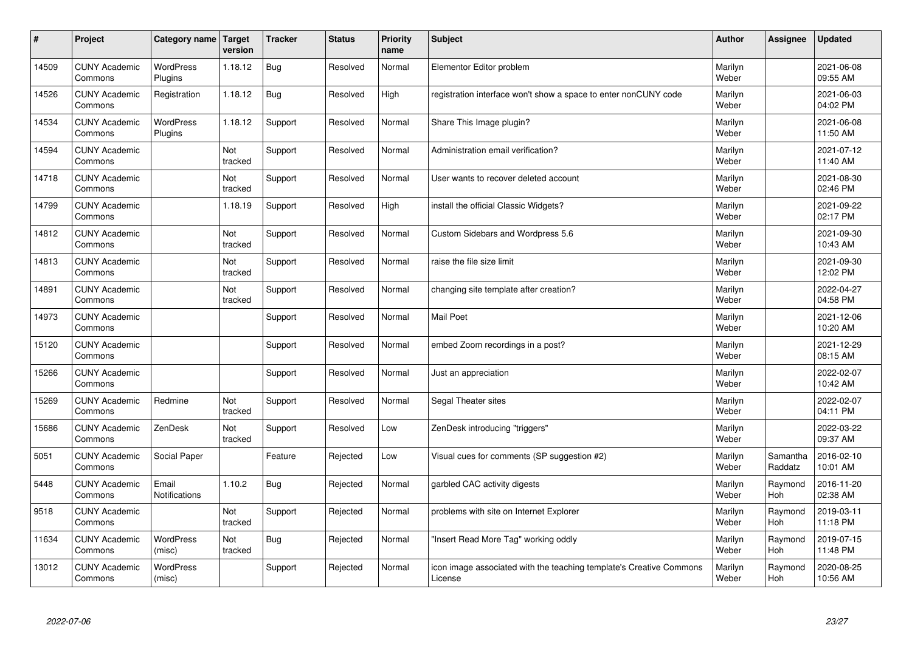| $\sharp$ | Project                         | Category name               | Target<br>version | <b>Tracker</b> | <b>Status</b> | <b>Priority</b><br>name | <b>Subject</b>                                                                 | <b>Author</b>    | Assignee            | <b>Updated</b>         |
|----------|---------------------------------|-----------------------------|-------------------|----------------|---------------|-------------------------|--------------------------------------------------------------------------------|------------------|---------------------|------------------------|
| 14509    | <b>CUNY Academic</b><br>Commons | <b>WordPress</b><br>Plugins | 1.18.12           | <b>Bug</b>     | Resolved      | Normal                  | Elementor Editor problem                                                       | Marilyn<br>Weber |                     | 2021-06-08<br>09:55 AM |
| 14526    | <b>CUNY Academic</b><br>Commons | Registration                | 1.18.12           | <b>Bug</b>     | Resolved      | High                    | registration interface won't show a space to enter nonCUNY code                | Marilyn<br>Weber |                     | 2021-06-03<br>04:02 PM |
| 14534    | <b>CUNY Academic</b><br>Commons | <b>WordPress</b><br>Plugins | 1.18.12           | Support        | Resolved      | Normal                  | Share This Image plugin?                                                       | Marilyn<br>Weber |                     | 2021-06-08<br>11:50 AM |
| 14594    | <b>CUNY Academic</b><br>Commons |                             | Not<br>tracked    | Support        | Resolved      | Normal                  | Administration email verification?                                             | Marilyn<br>Weber |                     | 2021-07-12<br>11:40 AM |
| 14718    | <b>CUNY Academic</b><br>Commons |                             | Not<br>tracked    | Support        | Resolved      | Normal                  | User wants to recover deleted account                                          | Marilyn<br>Weber |                     | 2021-08-30<br>02:46 PM |
| 14799    | <b>CUNY Academic</b><br>Commons |                             | 1.18.19           | Support        | Resolved      | High                    | install the official Classic Widgets?                                          | Marilyn<br>Weber |                     | 2021-09-22<br>02:17 PM |
| 14812    | <b>CUNY Academic</b><br>Commons |                             | Not<br>tracked    | Support        | Resolved      | Normal                  | Custom Sidebars and Wordpress 5.6                                              | Marilyn<br>Weber |                     | 2021-09-30<br>10:43 AM |
| 14813    | <b>CUNY Academic</b><br>Commons |                             | Not<br>tracked    | Support        | Resolved      | Normal                  | raise the file size limit                                                      | Marilyn<br>Weber |                     | 2021-09-30<br>12:02 PM |
| 14891    | <b>CUNY Academic</b><br>Commons |                             | Not<br>tracked    | Support        | Resolved      | Normal                  | changing site template after creation?                                         | Marilyn<br>Weber |                     | 2022-04-27<br>04:58 PM |
| 14973    | <b>CUNY Academic</b><br>Commons |                             |                   | Support        | Resolved      | Normal                  | Mail Poet                                                                      | Marilyn<br>Weber |                     | 2021-12-06<br>10:20 AM |
| 15120    | <b>CUNY Academic</b><br>Commons |                             |                   | Support        | Resolved      | Normal                  | embed Zoom recordings in a post?                                               | Marilyn<br>Weber |                     | 2021-12-29<br>08:15 AM |
| 15266    | <b>CUNY Academic</b><br>Commons |                             |                   | Support        | Resolved      | Normal                  | Just an appreciation                                                           | Marilyn<br>Weber |                     | 2022-02-07<br>10:42 AM |
| 15269    | <b>CUNY Academic</b><br>Commons | Redmine                     | Not<br>tracked    | Support        | Resolved      | Normal                  | Segal Theater sites                                                            | Marilyn<br>Weber |                     | 2022-02-07<br>04:11 PM |
| 15686    | <b>CUNY Academic</b><br>Commons | ZenDesk                     | Not<br>tracked    | Support        | Resolved      | Low                     | ZenDesk introducing "triggers"                                                 | Marilyn<br>Weber |                     | 2022-03-22<br>09:37 AM |
| 5051     | <b>CUNY Academic</b><br>Commons | Social Paper                |                   | Feature        | Rejected      | Low                     | Visual cues for comments (SP suggestion #2)                                    | Marilyn<br>Weber | Samantha<br>Raddatz | 2016-02-10<br>10:01 AM |
| 5448     | <b>CUNY Academic</b><br>Commons | Email<br>Notifications      | 1.10.2            | Bug            | Rejected      | Normal                  | garbled CAC activity digests                                                   | Marilyn<br>Weber | Raymond<br>Hoh      | 2016-11-20<br>02:38 AM |
| 9518     | <b>CUNY Academic</b><br>Commons |                             | Not<br>tracked    | Support        | Rejected      | Normal                  | problems with site on Internet Explorer                                        | Marilyn<br>Weber | Raymond<br>Hoh      | 2019-03-11<br>11:18 PM |
| 11634    | <b>CUNY Academic</b><br>Commons | <b>WordPress</b><br>(misc)  | Not<br>tracked    | Bug            | Rejected      | Normal                  | 'Insert Read More Tag" working oddly                                           | Marilyn<br>Weber | Raymond<br>Hoh      | 2019-07-15<br>11:48 PM |
| 13012    | <b>CUNY Academic</b><br>Commons | <b>WordPress</b><br>(misc)  |                   | Support        | Rejected      | Normal                  | icon image associated with the teaching template's Creative Commons<br>License | Marilyn<br>Weber | Raymond<br>Hoh      | 2020-08-25<br>10:56 AM |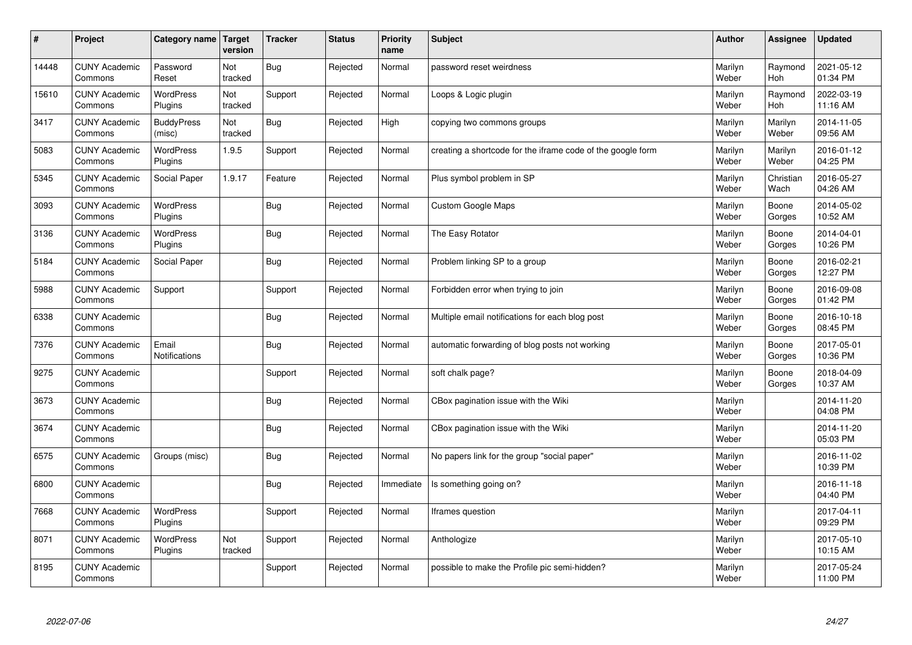| $\sharp$ | Project                         | Category name   Target      | version        | <b>Tracker</b> | <b>Status</b> | <b>Priority</b><br>name | <b>Subject</b>                                              | <b>Author</b>    | Assignee              | <b>Updated</b>         |
|----------|---------------------------------|-----------------------------|----------------|----------------|---------------|-------------------------|-------------------------------------------------------------|------------------|-----------------------|------------------------|
| 14448    | <b>CUNY Academic</b><br>Commons | Password<br>Reset           | Not<br>tracked | Bug            | Rejected      | Normal                  | password reset weirdness                                    | Marilyn<br>Weber | Raymond<br>Hoh        | 2021-05-12<br>01:34 PM |
| 15610    | <b>CUNY Academic</b><br>Commons | <b>WordPress</b><br>Plugins | Not<br>tracked | Support        | Rejected      | Normal                  | Loops & Logic plugin                                        | Marilyn<br>Weber | Raymond<br><b>Hoh</b> | 2022-03-19<br>11:16 AM |
| 3417     | <b>CUNY Academic</b><br>Commons | <b>BuddyPress</b><br>(misc) | Not<br>tracked | <b>Bug</b>     | Rejected      | High                    | copying two commons groups                                  | Marilyn<br>Weber | Marilyn<br>Weber      | 2014-11-05<br>09:56 AM |
| 5083     | <b>CUNY Academic</b><br>Commons | <b>WordPress</b><br>Plugins | 1.9.5          | Support        | Rejected      | Normal                  | creating a shortcode for the iframe code of the google form | Marilyn<br>Weber | Marilyn<br>Weber      | 2016-01-12<br>04:25 PM |
| 5345     | <b>CUNY Academic</b><br>Commons | Social Paper                | 1.9.17         | Feature        | Rejected      | Normal                  | Plus symbol problem in SP                                   | Marilyn<br>Weber | Christian<br>Wach     | 2016-05-27<br>04:26 AM |
| 3093     | <b>CUNY Academic</b><br>Commons | WordPress<br>Plugins        |                | Bug            | Rejected      | Normal                  | <b>Custom Google Maps</b>                                   | Marilyn<br>Weber | Boone<br>Gorges       | 2014-05-02<br>10:52 AM |
| 3136     | <b>CUNY Academic</b><br>Commons | WordPress<br>Plugins        |                | Bug            | Rejected      | Normal                  | The Easy Rotator                                            | Marilyn<br>Weber | Boone<br>Gorges       | 2014-04-01<br>10:26 PM |
| 5184     | <b>CUNY Academic</b><br>Commons | Social Paper                |                | Bug            | Rejected      | Normal                  | Problem linking SP to a group                               | Marilyn<br>Weber | Boone<br>Gorges       | 2016-02-21<br>12:27 PM |
| 5988     | <b>CUNY Academic</b><br>Commons | Support                     |                | Support        | Rejected      | Normal                  | Forbidden error when trying to join                         | Marilyn<br>Weber | Boone<br>Gorges       | 2016-09-08<br>01:42 PM |
| 6338     | <b>CUNY Academic</b><br>Commons |                             |                | <b>Bug</b>     | Rejected      | Normal                  | Multiple email notifications for each blog post             | Marilyn<br>Weber | Boone<br>Gorges       | 2016-10-18<br>08:45 PM |
| 7376     | <b>CUNY Academic</b><br>Commons | Email<br>Notifications      |                | <b>Bug</b>     | Rejected      | Normal                  | automatic forwarding of blog posts not working              | Marilyn<br>Weber | Boone<br>Gorges       | 2017-05-01<br>10:36 PM |
| 9275     | <b>CUNY Academic</b><br>Commons |                             |                | Support        | Rejected      | Normal                  | soft chalk page?                                            | Marilyn<br>Weber | Boone<br>Gorges       | 2018-04-09<br>10:37 AM |
| 3673     | <b>CUNY Academic</b><br>Commons |                             |                | Bug            | Rejected      | Normal                  | CBox pagination issue with the Wiki                         | Marilyn<br>Weber |                       | 2014-11-20<br>04:08 PM |
| 3674     | <b>CUNY Academic</b><br>Commons |                             |                | <b>Bug</b>     | Rejected      | Normal                  | CBox pagination issue with the Wiki                         | Marilyn<br>Weber |                       | 2014-11-20<br>05:03 PM |
| 6575     | <b>CUNY Academic</b><br>Commons | Groups (misc)               |                | <b>Bug</b>     | Rejected      | Normal                  | No papers link for the group "social paper"                 | Marilyn<br>Weber |                       | 2016-11-02<br>10:39 PM |
| 6800     | <b>CUNY Academic</b><br>Commons |                             |                | Bug            | Rejected      | Immediate               | Is something going on?                                      | Marilyn<br>Weber |                       | 2016-11-18<br>04:40 PM |
| 7668     | <b>CUNY Academic</b><br>Commons | WordPress<br>Plugins        |                | Support        | Rejected      | Normal                  | Iframes question                                            | Marilyn<br>Weber |                       | 2017-04-11<br>09:29 PM |
| 8071     | <b>CUNY Academic</b><br>Commons | WordPress<br>Plugins        | Not<br>tracked | Support        | Rejected      | Normal                  | Anthologize                                                 | Marilyn<br>Weber |                       | 2017-05-10<br>10:15 AM |
| 8195     | <b>CUNY Academic</b><br>Commons |                             |                | Support        | Rejected      | Normal                  | possible to make the Profile pic semi-hidden?               | Marilyn<br>Weber |                       | 2017-05-24<br>11:00 PM |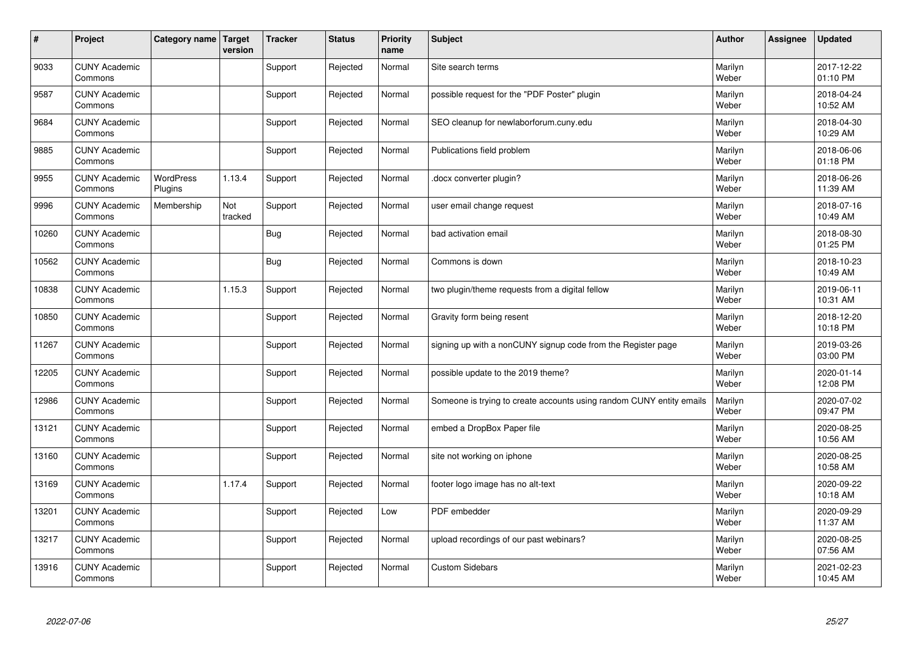| #     | Project                         | Category name   Target      | version        | <b>Tracker</b> | <b>Status</b> | <b>Priority</b><br>name | <b>Subject</b>                                                       | <b>Author</b>    | Assignee | <b>Updated</b>         |
|-------|---------------------------------|-----------------------------|----------------|----------------|---------------|-------------------------|----------------------------------------------------------------------|------------------|----------|------------------------|
| 9033  | <b>CUNY Academic</b><br>Commons |                             |                | Support        | Rejected      | Normal                  | Site search terms                                                    | Marilyn<br>Weber |          | 2017-12-22<br>01:10 PM |
| 9587  | <b>CUNY Academic</b><br>Commons |                             |                | Support        | Rejected      | Normal                  | possible request for the "PDF Poster" plugin                         | Marilyn<br>Weber |          | 2018-04-24<br>10:52 AM |
| 9684  | <b>CUNY Academic</b><br>Commons |                             |                | Support        | Rejected      | Normal                  | SEO cleanup for newlaborforum.cuny.edu                               | Marilyn<br>Weber |          | 2018-04-30<br>10:29 AM |
| 9885  | <b>CUNY Academic</b><br>Commons |                             |                | Support        | Rejected      | Normal                  | Publications field problem                                           | Marilyn<br>Weber |          | 2018-06-06<br>01:18 PM |
| 9955  | <b>CUNY Academic</b><br>Commons | <b>WordPress</b><br>Plugins | 1.13.4         | Support        | Rejected      | Normal                  | docx converter plugin?                                               | Marilyn<br>Weber |          | 2018-06-26<br>11:39 AM |
| 9996  | <b>CUNY Academic</b><br>Commons | Membership                  | Not<br>tracked | Support        | Rejected      | Normal                  | user email change request                                            | Marilyn<br>Weber |          | 2018-07-16<br>10:49 AM |
| 10260 | <b>CUNY Academic</b><br>Commons |                             |                | Bug            | Rejected      | Normal                  | bad activation email                                                 | Marilyn<br>Weber |          | 2018-08-30<br>01:25 PM |
| 10562 | <b>CUNY Academic</b><br>Commons |                             |                | <b>Bug</b>     | Rejected      | Normal                  | Commons is down                                                      | Marilyn<br>Weber |          | 2018-10-23<br>10:49 AM |
| 10838 | <b>CUNY Academic</b><br>Commons |                             | 1.15.3         | Support        | Rejected      | Normal                  | two plugin/theme requests from a digital fellow                      | Marilyn<br>Weber |          | 2019-06-11<br>10:31 AM |
| 10850 | <b>CUNY Academic</b><br>Commons |                             |                | Support        | Rejected      | Normal                  | Gravity form being resent                                            | Marilyn<br>Weber |          | 2018-12-20<br>10:18 PM |
| 11267 | <b>CUNY Academic</b><br>Commons |                             |                | Support        | Rejected      | Normal                  | signing up with a nonCUNY signup code from the Register page         | Marilyn<br>Weber |          | 2019-03-26<br>03:00 PM |
| 12205 | <b>CUNY Academic</b><br>Commons |                             |                | Support        | Rejected      | Normal                  | possible update to the 2019 theme?                                   | Marilyn<br>Weber |          | 2020-01-14<br>12:08 PM |
| 12986 | <b>CUNY Academic</b><br>Commons |                             |                | Support        | Rejected      | Normal                  | Someone is trying to create accounts using random CUNY entity emails | Marilyn<br>Weber |          | 2020-07-02<br>09:47 PM |
| 13121 | <b>CUNY Academic</b><br>Commons |                             |                | Support        | Rejected      | Normal                  | embed a DropBox Paper file                                           | Marilyn<br>Weber |          | 2020-08-25<br>10:56 AM |
| 13160 | <b>CUNY Academic</b><br>Commons |                             |                | Support        | Rejected      | Normal                  | site not working on iphone                                           | Marilyn<br>Weber |          | 2020-08-25<br>10:58 AM |
| 13169 | <b>CUNY Academic</b><br>Commons |                             | 1.17.4         | Support        | Rejected      | Normal                  | footer logo image has no alt-text                                    | Marilyn<br>Weber |          | 2020-09-22<br>10:18 AM |
| 13201 | <b>CUNY Academic</b><br>Commons |                             |                | Support        | Rejected      | Low                     | PDF embedder                                                         | Marilyn<br>Weber |          | 2020-09-29<br>11:37 AM |
| 13217 | <b>CUNY Academic</b><br>Commons |                             |                | Support        | Rejected      | Normal                  | upload recordings of our past webinars?                              | Marilyn<br>Weber |          | 2020-08-25<br>07:56 AM |
| 13916 | <b>CUNY Academic</b><br>Commons |                             |                | Support        | Rejected      | Normal                  | <b>Custom Sidebars</b>                                               | Marilyn<br>Weber |          | 2021-02-23<br>10:45 AM |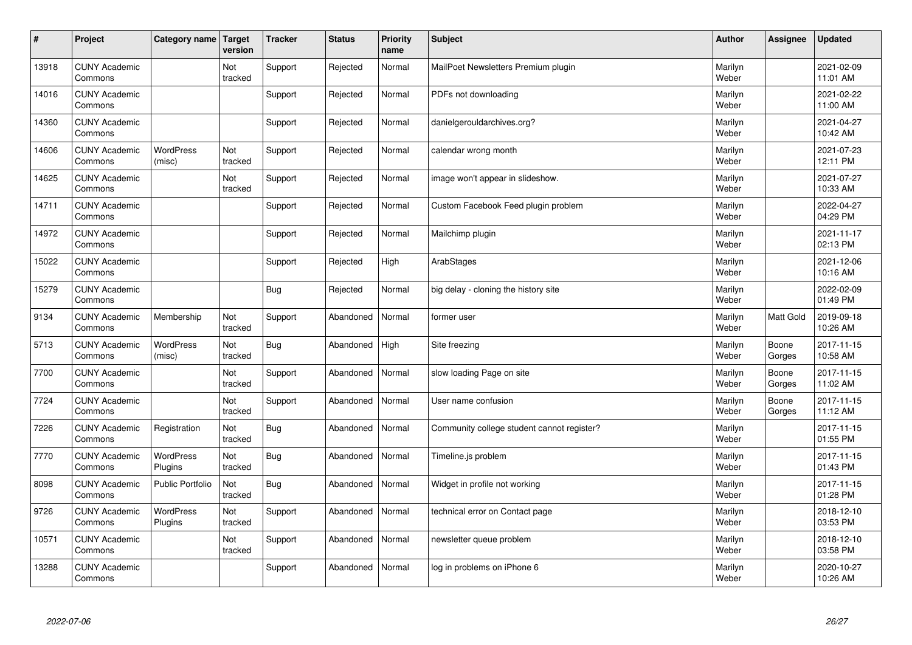| $\pmb{\#}$ | Project                         | Category name               | Target<br>version | <b>Tracker</b> | <b>Status</b> | <b>Priority</b><br>name | <b>Subject</b>                             | <b>Author</b>    | Assignee        | <b>Updated</b>         |
|------------|---------------------------------|-----------------------------|-------------------|----------------|---------------|-------------------------|--------------------------------------------|------------------|-----------------|------------------------|
| 13918      | <b>CUNY Academic</b><br>Commons |                             | Not<br>tracked    | Support        | Rejected      | Normal                  | MailPoet Newsletters Premium plugin        | Marilyn<br>Weber |                 | 2021-02-09<br>11:01 AM |
| 14016      | <b>CUNY Academic</b><br>Commons |                             |                   | Support        | Rejected      | Normal                  | PDFs not downloading                       | Marilyn<br>Weber |                 | 2021-02-22<br>11:00 AM |
| 14360      | <b>CUNY Academic</b><br>Commons |                             |                   | Support        | Rejected      | Normal                  | danielgerouldarchives.org?                 | Marilyn<br>Weber |                 | 2021-04-27<br>10:42 AM |
| 14606      | <b>CUNY Academic</b><br>Commons | <b>WordPress</b><br>(misc)  | Not<br>tracked    | Support        | Rejected      | Normal                  | calendar wrong month                       | Marilyn<br>Weber |                 | 2021-07-23<br>12:11 PM |
| 14625      | <b>CUNY Academic</b><br>Commons |                             | Not<br>tracked    | Support        | Rejected      | Normal                  | image won't appear in slideshow.           | Marilyn<br>Weber |                 | 2021-07-27<br>10:33 AM |
| 14711      | <b>CUNY Academic</b><br>Commons |                             |                   | Support        | Rejected      | Normal                  | Custom Facebook Feed plugin problem        | Marilyn<br>Weber |                 | 2022-04-27<br>04:29 PM |
| 14972      | <b>CUNY Academic</b><br>Commons |                             |                   | Support        | Rejected      | Normal                  | Mailchimp plugin                           | Marilyn<br>Weber |                 | 2021-11-17<br>02:13 PM |
| 15022      | <b>CUNY Academic</b><br>Commons |                             |                   | Support        | Rejected      | High                    | ArabStages                                 | Marilyn<br>Weber |                 | 2021-12-06<br>10:16 AM |
| 15279      | <b>CUNY Academic</b><br>Commons |                             |                   | Bug            | Rejected      | Normal                  | big delay - cloning the history site       | Marilyn<br>Weber |                 | 2022-02-09<br>01:49 PM |
| 9134       | <b>CUNY Academic</b><br>Commons | Membership                  | Not<br>tracked    | Support        | Abandoned     | Normal                  | former user                                | Marilyn<br>Weber | Matt Gold       | 2019-09-18<br>10:26 AM |
| 5713       | <b>CUNY Academic</b><br>Commons | <b>WordPress</b><br>(misc)  | Not<br>tracked    | <b>Bug</b>     | Abandoned     | High                    | Site freezing                              | Marilyn<br>Weber | Boone<br>Gorges | 2017-11-15<br>10:58 AM |
| 7700       | <b>CUNY Academic</b><br>Commons |                             | Not<br>tracked    | Support        | Abandoned     | Normal                  | slow loading Page on site                  | Marilyn<br>Weber | Boone<br>Gorges | 2017-11-15<br>11:02 AM |
| 7724       | <b>CUNY Academic</b><br>Commons |                             | Not<br>tracked    | Support        | Abandoned     | Normal                  | User name confusion                        | Marilyn<br>Weber | Boone<br>Gorges | 2017-11-15<br>11:12 AM |
| 7226       | <b>CUNY Academic</b><br>Commons | Registration                | Not<br>tracked    | <b>Bug</b>     | Abandoned     | Normal                  | Community college student cannot register? | Marilyn<br>Weber |                 | 2017-11-15<br>01:55 PM |
| 7770       | <b>CUNY Academic</b><br>Commons | WordPress<br>Plugins        | Not<br>tracked    | <b>Bug</b>     | Abandoned     | Normal                  | Timeline.js problem                        | Marilyn<br>Weber |                 | 2017-11-15<br>01:43 PM |
| 8098       | <b>CUNY Academic</b><br>Commons | <b>Public Portfolio</b>     | Not<br>tracked    | <b>Bug</b>     | Abandoned     | Normal                  | Widget in profile not working              | Marilyn<br>Weber |                 | 2017-11-15<br>01:28 PM |
| 9726       | <b>CUNY Academic</b><br>Commons | <b>WordPress</b><br>Plugins | Not<br>tracked    | Support        | Abandoned     | Normal                  | technical error on Contact page            | Marilyn<br>Weber |                 | 2018-12-10<br>03:53 PM |
| 10571      | <b>CUNY Academic</b><br>Commons |                             | Not<br>tracked    | Support        | Abandoned     | Normal                  | newsletter queue problem                   | Marilyn<br>Weber |                 | 2018-12-10<br>03:58 PM |
| 13288      | <b>CUNY Academic</b><br>Commons |                             |                   | Support        | Abandoned     | Normal                  | log in problems on iPhone 6                | Marilyn<br>Weber |                 | 2020-10-27<br>10:26 AM |